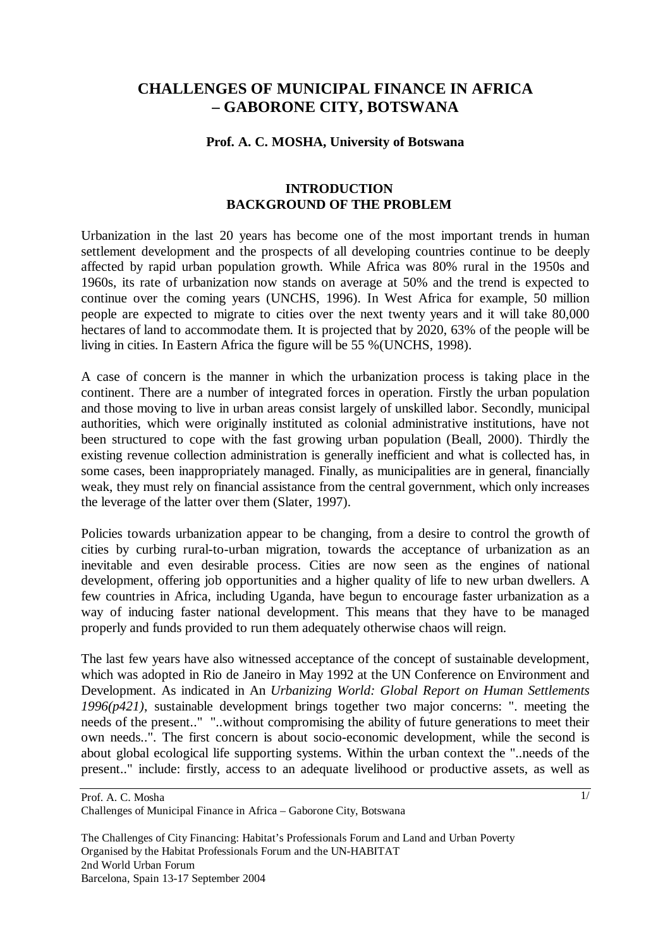# **CHALLENGES OF MUNICIPAL FINANCE IN AFRICA – GABORONE CITY, BOTSWANA**

#### **Prof. A. C. MOSHA, University of Botswana**

## **INTRODUCTION BACKGROUND OF THE PROBLEM**

Urbanization in the last 20 years has become one of the most important trends in human settlement development and the prospects of all developing countries continue to be deeply affected by rapid urban population growth. While Africa was 80% rural in the 1950s and 1960s, its rate of urbanization now stands on average at 50% and the trend is expected to continue over the coming years (UNCHS, 1996). In West Africa for example, 50 million people are expected to migrate to cities over the next twenty years and it will take 80,000 hectares of land to accommodate them. It is projected that by 2020, 63% of the people will be living in cities. In Eastern Africa the figure will be 55 %(UNCHS, 1998).

A case of concern is the manner in which the urbanization process is taking place in the continent. There are a number of integrated forces in operation. Firstly the urban population and those moving to live in urban areas consist largely of unskilled labor. Secondly, municipal authorities, which were originally instituted as colonial administrative institutions, have not been structured to cope with the fast growing urban population (Beall, 2000). Thirdly the existing revenue collection administration is generally inefficient and what is collected has, in some cases, been inappropriately managed. Finally, as municipalities are in general, financially weak, they must rely on financial assistance from the central government, which only increases the leverage of the latter over them (Slater, 1997).

Policies towards urbanization appear to be changing, from a desire to control the growth of cities by curbing rural-to-urban migration, towards the acceptance of urbanization as an inevitable and even desirable process. Cities are now seen as the engines of national development, offering job opportunities and a higher quality of life to new urban dwellers. A few countries in Africa, including Uganda, have begun to encourage faster urbanization as a way of inducing faster national development. This means that they have to be managed properly and funds provided to run them adequately otherwise chaos will reign.

The last few years have also witnessed acceptance of the concept of sustainable development, which was adopted in Rio de Janeiro in May 1992 at the UN Conference on Environment and Development. As indicated in An *Urbanizing World: Global Report on Human Settlements 1996(p421)*, sustainable development brings together two major concerns: ". meeting the needs of the present.." "..without compromising the ability of future generations to meet their own needs..". The first concern is about socio-economic development, while the second is about global ecological life supporting systems. Within the urban context the "..needs of the present.." include: firstly, access to an adequate livelihood or productive assets, as well as

1/

Prof. A. C. Mosha Challenges of Municipal Finance in Africa – Gaborone City, Botswana

The Challenges of City Financing: Habitat's Professionals Forum and Land and Urban Poverty Organised by the Habitat Professionals Forum and the UN-HABITAT 2nd World Urban Forum Barcelona, Spain 13-17 September 2004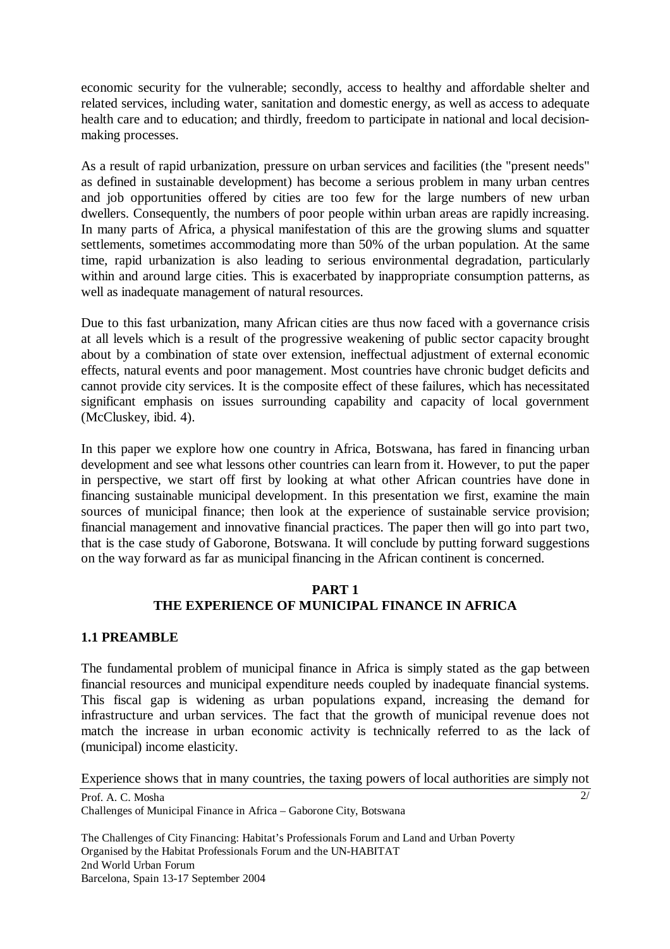economic security for the vulnerable; secondly, access to healthy and affordable shelter and related services, including water, sanitation and domestic energy, as well as access to adequate health care and to education; and thirdly, freedom to participate in national and local decisionmaking processes.

As a result of rapid urbanization, pressure on urban services and facilities (the "present needs" as defined in sustainable development) has become a serious problem in many urban centres and job opportunities offered by cities are too few for the large numbers of new urban dwellers. Consequently, the numbers of poor people within urban areas are rapidly increasing. In many parts of Africa, a physical manifestation of this are the growing slums and squatter settlements, sometimes accommodating more than 50% of the urban population. At the same time, rapid urbanization is also leading to serious environmental degradation, particularly within and around large cities. This is exacerbated by inappropriate consumption patterns, as well as inadequate management of natural resources.

Due to this fast urbanization, many African cities are thus now faced with a governance crisis at all levels which is a result of the progressive weakening of public sector capacity brought about by a combination of state over extension, ineffectual adjustment of external economic effects, natural events and poor management. Most countries have chronic budget deficits and cannot provide city services. It is the composite effect of these failures, which has necessitated significant emphasis on issues surrounding capability and capacity of local government (McCluskey, ibid. 4).

In this paper we explore how one country in Africa, Botswana, has fared in financing urban development and see what lessons other countries can learn from it. However, to put the paper in perspective, we start off first by looking at what other African countries have done in financing sustainable municipal development. In this presentation we first, examine the main sources of municipal finance; then look at the experience of sustainable service provision; financial management and innovative financial practices. The paper then will go into part two, that is the case study of Gaborone, Botswana. It will conclude by putting forward suggestions on the way forward as far as municipal financing in the African continent is concerned.

## **PART 1 THE EXPERIENCE OF MUNICIPAL FINANCE IN AFRICA**

## **1.1 PREAMBLE**

The fundamental problem of municipal finance in Africa is simply stated as the gap between financial resources and municipal expenditure needs coupled by inadequate financial systems. This fiscal gap is widening as urban populations expand, increasing the demand for infrastructure and urban services. The fact that the growth of municipal revenue does not match the increase in urban economic activity is technically referred to as the lack of (municipal) income elasticity.

Experience shows that in many countries, the taxing powers of local authorities are simply not

 $\overline{2/}$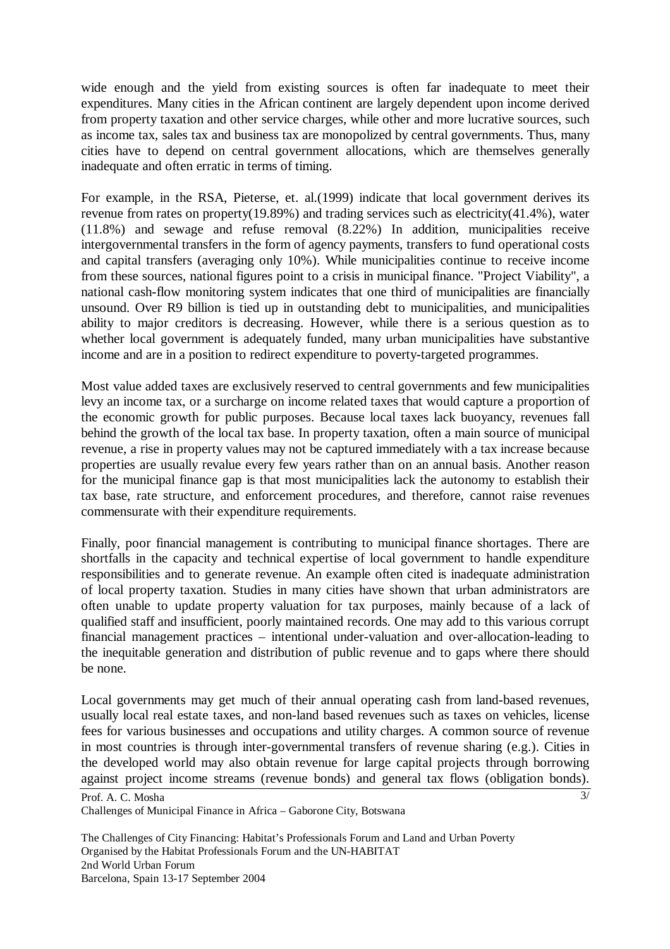wide enough and the yield from existing sources is often far inadequate to meet their expenditures. Many cities in the African continent are largely dependent upon income derived from property taxation and other service charges, while other and more lucrative sources, such as income tax, sales tax and business tax are monopolized by central governments. Thus, many cities have to depend on central government allocations, which are themselves generally inadequate and often erratic in terms of timing.

For example, in the RSA, Pieterse, et. al.(1999) indicate that local government derives its revenue from rates on property(19.89%) and trading services such as electricity(41.4%), water (11.8%) and sewage and refuse removal (8.22%) In addition, municipalities receive intergovernmental transfers in the form of agency payments, transfers to fund operational costs and capital transfers (averaging only 10%). While municipalities continue to receive income from these sources, national figures point to a crisis in municipal finance. "Project Viability", a national cash-flow monitoring system indicates that one third of municipalities are financially unsound. Over R9 billion is tied up in outstanding debt to municipalities, and municipalities ability to major creditors is decreasing. However, while there is a serious question as to whether local government is adequately funded, many urban municipalities have substantive income and are in a position to redirect expenditure to poverty-targeted programmes.

Most value added taxes are exclusively reserved to central governments and few municipalities levy an income tax, or a surcharge on income related taxes that would capture a proportion of the economic growth for public purposes. Because local taxes lack buoyancy, revenues fall behind the growth of the local tax base. In property taxation, often a main source of municipal revenue, a rise in property values may not be captured immediately with a tax increase because properties are usually revalue every few years rather than on an annual basis. Another reason for the municipal finance gap is that most municipalities lack the autonomy to establish their tax base, rate structure, and enforcement procedures, and therefore, cannot raise revenues commensurate with their expenditure requirements.

Finally, poor financial management is contributing to municipal finance shortages. There are shortfalls in the capacity and technical expertise of local government to handle expenditure responsibilities and to generate revenue. An example often cited is inadequate administration of local property taxation. Studies in many cities have shown that urban administrators are often unable to update property valuation for tax purposes, mainly because of a lack of qualified staff and insufficient, poorly maintained records. One may add to this various corrupt financial management practices – intentional under-valuation and over-allocation-leading to the inequitable generation and distribution of public revenue and to gaps where there should be none.

Local governments may get much of their annual operating cash from land-based revenues, usually local real estate taxes, and non-land based revenues such as taxes on vehicles, license fees for various businesses and occupations and utility charges. A common source of revenue in most countries is through inter-governmental transfers of revenue sharing (e.g.). Cities in the developed world may also obtain revenue for large capital projects through borrowing against project income streams (revenue bonds) and general tax flows (obligation bonds).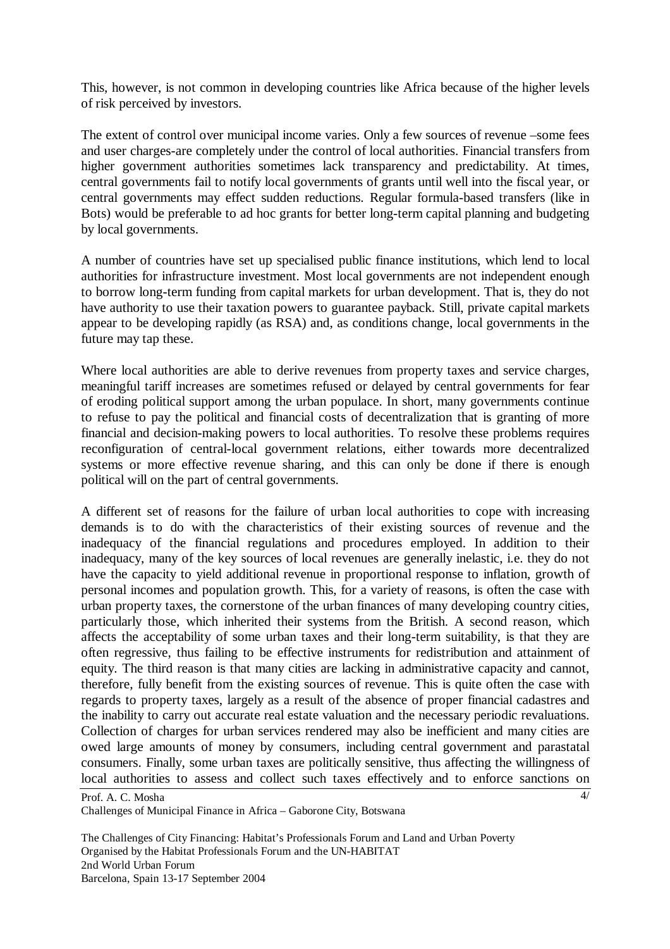This, however, is not common in developing countries like Africa because of the higher levels of risk perceived by investors.

The extent of control over municipal income varies. Only a few sources of revenue –some fees and user charges-are completely under the control of local authorities. Financial transfers from higher government authorities sometimes lack transparency and predictability. At times, central governments fail to notify local governments of grants until well into the fiscal year, or central governments may effect sudden reductions. Regular formula-based transfers (like in Bots) would be preferable to ad hoc grants for better long-term capital planning and budgeting by local governments.

A number of countries have set up specialised public finance institutions, which lend to local authorities for infrastructure investment. Most local governments are not independent enough to borrow long-term funding from capital markets for urban development. That is, they do not have authority to use their taxation powers to guarantee payback. Still, private capital markets appear to be developing rapidly (as RSA) and, as conditions change, local governments in the future may tap these.

Where local authorities are able to derive revenues from property taxes and service charges, meaningful tariff increases are sometimes refused or delayed by central governments for fear of eroding political support among the urban populace. In short, many governments continue to refuse to pay the political and financial costs of decentralization that is granting of more financial and decision-making powers to local authorities. To resolve these problems requires reconfiguration of central-local government relations, either towards more decentralized systems or more effective revenue sharing, and this can only be done if there is enough political will on the part of central governments.

A different set of reasons for the failure of urban local authorities to cope with increasing demands is to do with the characteristics of their existing sources of revenue and the inadequacy of the financial regulations and procedures employed. In addition to their inadequacy, many of the key sources of local revenues are generally inelastic, i.e. they do not have the capacity to yield additional revenue in proportional response to inflation, growth of personal incomes and population growth. This, for a variety of reasons, is often the case with urban property taxes, the cornerstone of the urban finances of many developing country cities, particularly those, which inherited their systems from the British. A second reason, which affects the acceptability of some urban taxes and their long-term suitability, is that they are often regressive, thus failing to be effective instruments for redistribution and attainment of equity. The third reason is that many cities are lacking in administrative capacity and cannot, therefore, fully benefit from the existing sources of revenue. This is quite often the case with regards to property taxes, largely as a result of the absence of proper financial cadastres and the inability to carry out accurate real estate valuation and the necessary periodic revaluations. Collection of charges for urban services rendered may also be inefficient and many cities are owed large amounts of money by consumers, including central government and parastatal consumers. Finally, some urban taxes are politically sensitive, thus affecting the willingness of local authorities to assess and collect such taxes effectively and to enforce sanctions on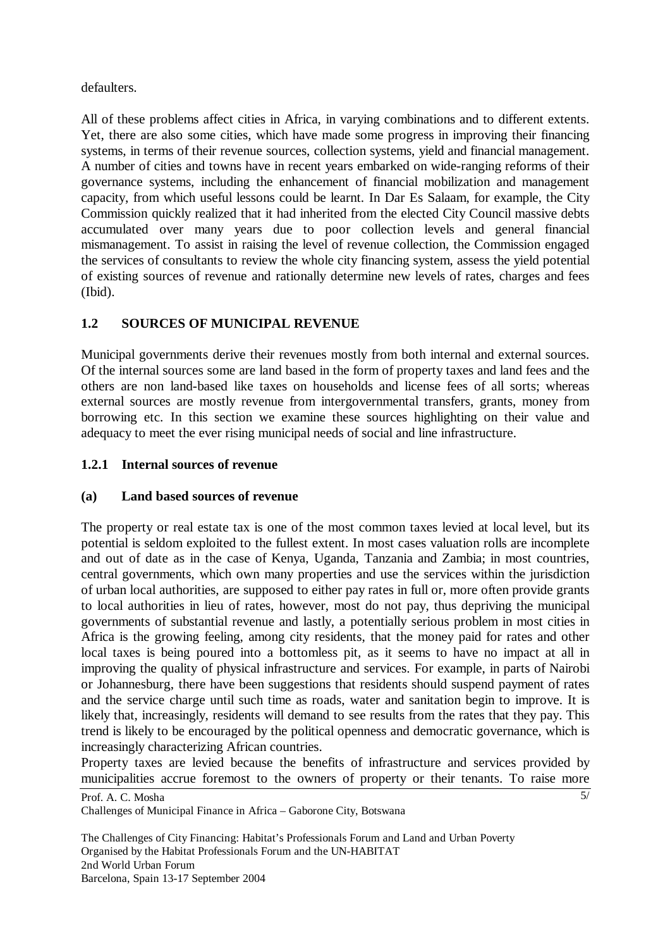defaulters.

All of these problems affect cities in Africa, in varying combinations and to different extents. Yet, there are also some cities, which have made some progress in improving their financing systems, in terms of their revenue sources, collection systems, yield and financial management. A number of cities and towns have in recent years embarked on wide-ranging reforms of their governance systems, including the enhancement of financial mobilization and management capacity, from which useful lessons could be learnt. In Dar Es Salaam, for example, the City Commission quickly realized that it had inherited from the elected City Council massive debts accumulated over many years due to poor collection levels and general financial mismanagement. To assist in raising the level of revenue collection, the Commission engaged the services of consultants to review the whole city financing system, assess the yield potential of existing sources of revenue and rationally determine new levels of rates, charges and fees (Ibid).

# **1.2 SOURCES OF MUNICIPAL REVENUE**

Municipal governments derive their revenues mostly from both internal and external sources. Of the internal sources some are land based in the form of property taxes and land fees and the others are non land-based like taxes on households and license fees of all sorts; whereas external sources are mostly revenue from intergovernmental transfers, grants, money from borrowing etc. In this section we examine these sources highlighting on their value and adequacy to meet the ever rising municipal needs of social and line infrastructure.

# **1.2.1 Internal sources of revenue**

## **(a) Land based sources of revenue**

The property or real estate tax is one of the most common taxes levied at local level, but its potential is seldom exploited to the fullest extent. In most cases valuation rolls are incomplete and out of date as in the case of Kenya, Uganda, Tanzania and Zambia; in most countries, central governments, which own many properties and use the services within the jurisdiction of urban local authorities, are supposed to either pay rates in full or, more often provide grants to local authorities in lieu of rates, however, most do not pay, thus depriving the municipal governments of substantial revenue and lastly, a potentially serious problem in most cities in Africa is the growing feeling, among city residents, that the money paid for rates and other local taxes is being poured into a bottomless pit, as it seems to have no impact at all in improving the quality of physical infrastructure and services. For example, in parts of Nairobi or Johannesburg, there have been suggestions that residents should suspend payment of rates and the service charge until such time as roads, water and sanitation begin to improve. It is likely that, increasingly, residents will demand to see results from the rates that they pay. This trend is likely to be encouraged by the political openness and democratic governance, which is increasingly characterizing African countries.

Property taxes are levied because the benefits of infrastructure and services provided by municipalities accrue foremost to the owners of property or their tenants. To raise more

Prof. A. C. Mosha Challenges of Municipal Finance in Africa – Gaborone City, Botswana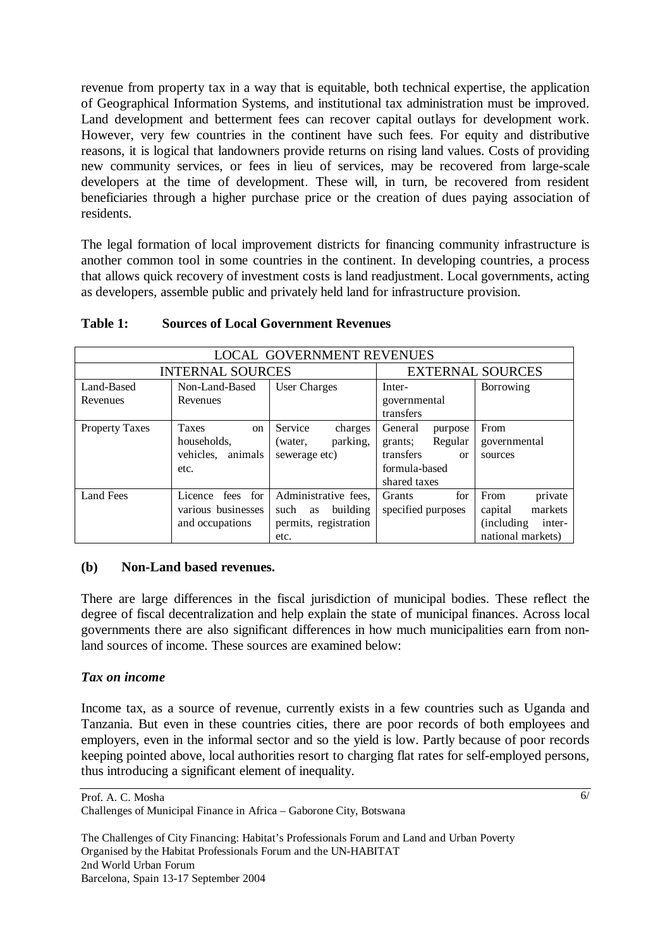revenue from property tax in a way that is equitable, both technical expertise, the application of Geographical Information Systems, and institutional tax administration must be improved. Land development and betterment fees can recover capital outlays for development work. However, very few countries in the continent have such fees. For equity and distributive reasons, it is logical that landowners provide returns on rising land values. Costs of providing new community services, or fees in lieu of services, may be recovered from large-scale developers at the time of development. These will, in turn, be recovered from resident beneficiaries through a higher purchase price or the creation of dues paying association of residents.

The legal formation of local improvement districts for financing community infrastructure is another common tool in some countries in the continent. In developing countries, a process that allows quick recovery of investment costs is land readjustment. Local governments, acting as developers, assemble public and privately held land for infrastructure provision.

| <b>LOCAL GOVERNMENT REVENUES</b> |                        |                        |                            |                       |  |
|----------------------------------|------------------------|------------------------|----------------------------|-----------------------|--|
| <b>INTERNAL SOURCES</b>          |                        |                        | <b>EXTERNAL SOURCES</b>    |                       |  |
| Land-Based                       | Non-Land-Based         | User Charges           | Inter-                     | Borrowing             |  |
| Revenues                         | Revenues               | governmental           |                            |                       |  |
|                                  |                        |                        | transfers                  |                       |  |
| <b>Property Taxes</b>            | Taxes<br><sub>on</sub> | Service<br>charges     | General<br>purpose         | From                  |  |
|                                  | households.            | parking,<br>(water,    | Regular<br>grants;         | governmental          |  |
|                                  | vehicles.<br>animals   | sewerage etc)          | transfers<br><sub>or</sub> | sources               |  |
|                                  | etc.                   |                        | formula-based              |                       |  |
|                                  |                        |                        | shared taxes               |                       |  |
| <b>Land Fees</b>                 | Licence fees for       | Administrative fees,   | for<br>Grants              | private<br>From       |  |
|                                  | various businesses     | such<br>building<br>as | specified purposes         | markets<br>capital    |  |
|                                  | and occupations        | permits, registration  |                            | (including)<br>inter- |  |
|                                  |                        | etc.                   |                            | national markets)     |  |

#### **Table 1: Sources of Local Government Revenues**

#### **(b) Non-Land based revenues.**

There are large differences in the fiscal jurisdiction of municipal bodies. These reflect the degree of fiscal decentralization and help explain the state of municipal finances. Across local governments there are also significant differences in how much municipalities earn from nonland sources of income. These sources are examined below:

#### *Tax on income*

Income tax, as a source of revenue, currently exists in a few countries such as Uganda and Tanzania. But even in these countries cities, there are poor records of both employees and employers, even in the informal sector and so the yield is low. Partly because of poor records keeping pointed above, local authorities resort to charging flat rates for self-employed persons, thus introducing a significant element of inequality.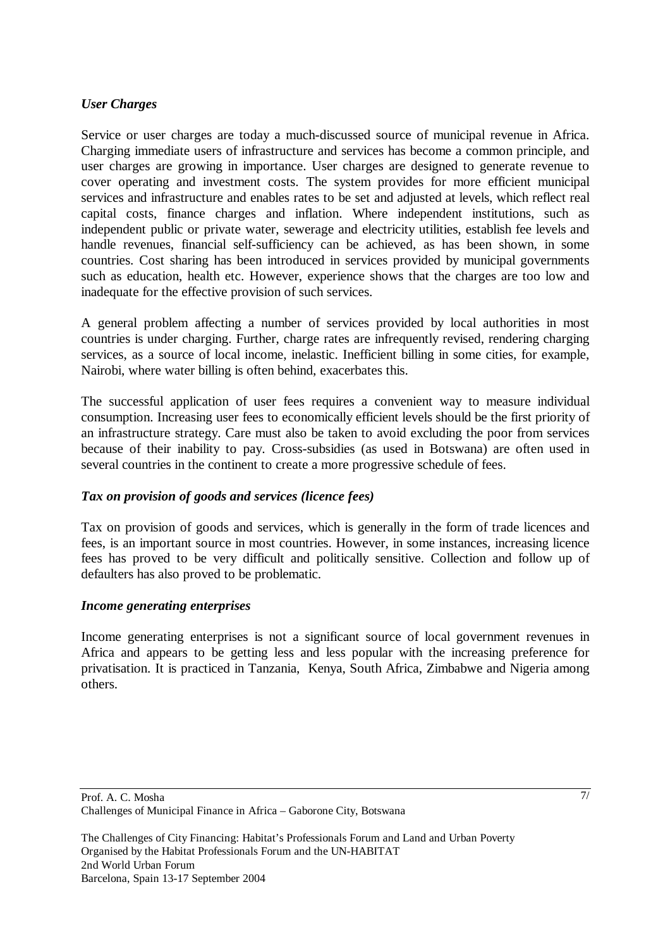## *User Charges*

Service or user charges are today a much-discussed source of municipal revenue in Africa. Charging immediate users of infrastructure and services has become a common principle, and user charges are growing in importance. User charges are designed to generate revenue to cover operating and investment costs. The system provides for more efficient municipal services and infrastructure and enables rates to be set and adjusted at levels, which reflect real capital costs, finance charges and inflation. Where independent institutions, such as independent public or private water, sewerage and electricity utilities, establish fee levels and handle revenues, financial self-sufficiency can be achieved, as has been shown, in some countries. Cost sharing has been introduced in services provided by municipal governments such as education, health etc. However, experience shows that the charges are too low and inadequate for the effective provision of such services.

A general problem affecting a number of services provided by local authorities in most countries is under charging. Further, charge rates are infrequently revised, rendering charging services, as a source of local income, inelastic. Inefficient billing in some cities, for example, Nairobi, where water billing is often behind, exacerbates this.

The successful application of user fees requires a convenient way to measure individual consumption. Increasing user fees to economically efficient levels should be the first priority of an infrastructure strategy. Care must also be taken to avoid excluding the poor from services because of their inability to pay. Cross-subsidies (as used in Botswana) are often used in several countries in the continent to create a more progressive schedule of fees.

## *Tax on provision of goods and services (licence fees)*

Tax on provision of goods and services, which is generally in the form of trade licences and fees, is an important source in most countries. However, in some instances, increasing licence fees has proved to be very difficult and politically sensitive. Collection and follow up of defaulters has also proved to be problematic.

#### *Income generating enterprises*

Income generating enterprises is not a significant source of local government revenues in Africa and appears to be getting less and less popular with the increasing preference for privatisation. It is practiced in Tanzania, Kenya, South Africa, Zimbabwe and Nigeria among others.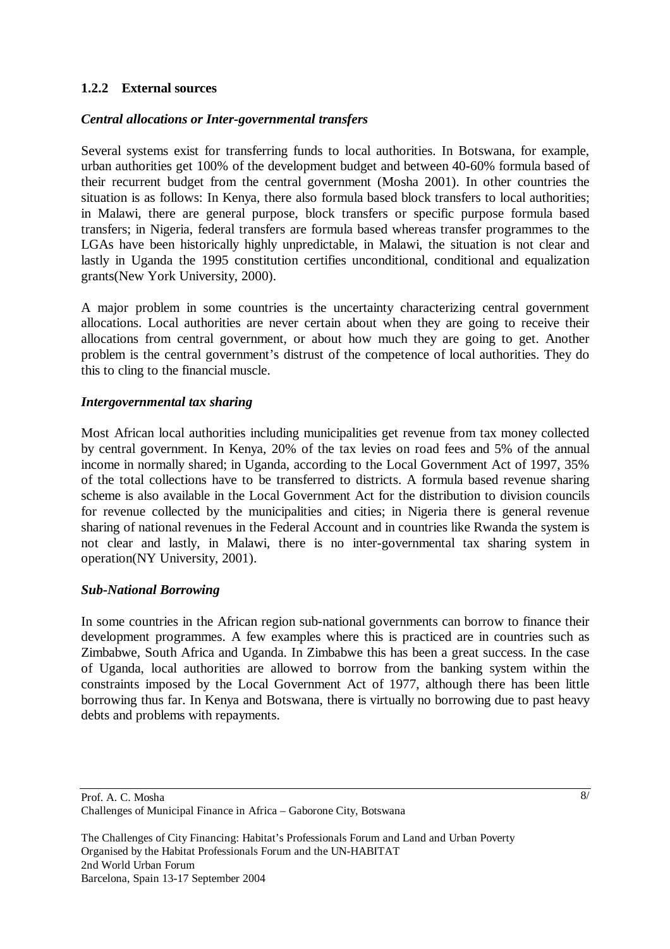## **1.2.2 External sources**

### *Central allocations or Inter-governmental transfers*

Several systems exist for transferring funds to local authorities. In Botswana, for example, urban authorities get 100% of the development budget and between 40-60% formula based of their recurrent budget from the central government (Mosha 2001). In other countries the situation is as follows: In Kenya, there also formula based block transfers to local authorities; in Malawi, there are general purpose, block transfers or specific purpose formula based transfers; in Nigeria, federal transfers are formula based whereas transfer programmes to the LGAs have been historically highly unpredictable, in Malawi, the situation is not clear and lastly in Uganda the 1995 constitution certifies unconditional, conditional and equalization grants(New York University, 2000).

A major problem in some countries is the uncertainty characterizing central government allocations. Local authorities are never certain about when they are going to receive their allocations from central government, or about how much they are going to get. Another problem is the central government's distrust of the competence of local authorities. They do this to cling to the financial muscle.

## *Intergovernmental tax sharing*

Most African local authorities including municipalities get revenue from tax money collected by central government. In Kenya, 20% of the tax levies on road fees and 5% of the annual income in normally shared; in Uganda, according to the Local Government Act of 1997, 35% of the total collections have to be transferred to districts. A formula based revenue sharing scheme is also available in the Local Government Act for the distribution to division councils for revenue collected by the municipalities and cities; in Nigeria there is general revenue sharing of national revenues in the Federal Account and in countries like Rwanda the system is not clear and lastly, in Malawi, there is no inter-governmental tax sharing system in operation(NY University, 2001).

## *Sub-National Borrowing*

In some countries in the African region sub-national governments can borrow to finance their development programmes. A few examples where this is practiced are in countries such as Zimbabwe, South Africa and Uganda. In Zimbabwe this has been a great success. In the case of Uganda, local authorities are allowed to borrow from the banking system within the constraints imposed by the Local Government Act of 1977, although there has been little borrowing thus far. In Kenya and Botswana, there is virtually no borrowing due to past heavy debts and problems with repayments.

Prof. A. C. Mosha Challenges of Municipal Finance in Africa – Gaborone City, Botswana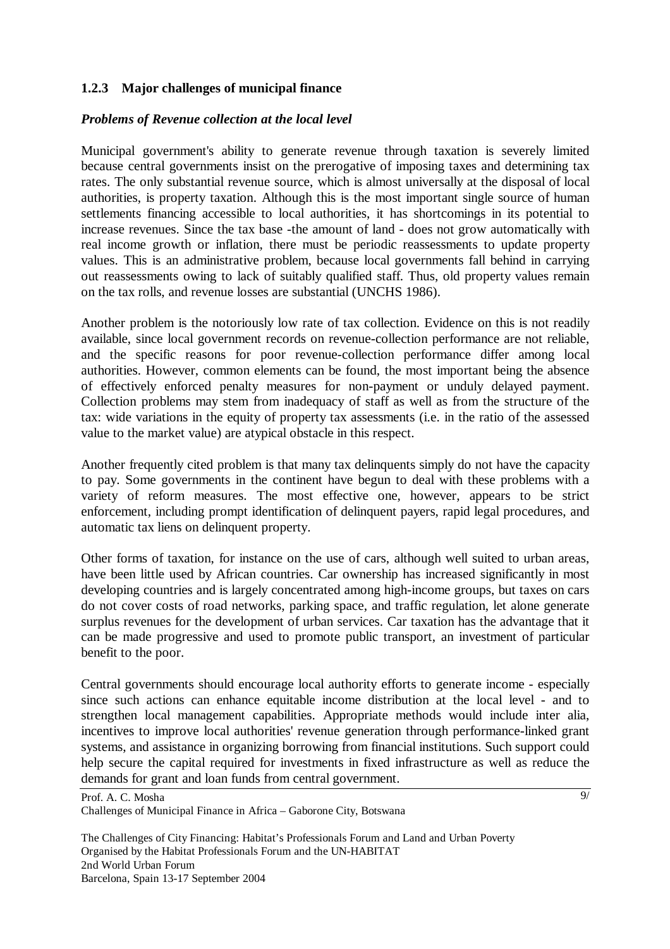## **1.2.3 Major challenges of municipal finance**

## *Problems of Revenue collection at the local level*

Municipal government's ability to generate revenue through taxation is severely limited because central governments insist on the prerogative of imposing taxes and determining tax rates. The only substantial revenue source, which is almost universally at the disposal of local authorities, is property taxation. Although this is the most important single source of human settlements financing accessible to local authorities, it has shortcomings in its potential to increase revenues. Since the tax base -the amount of land - does not grow automatically with real income growth or inflation, there must be periodic reassessments to update property values. This is an administrative problem, because local governments fall behind in carrying out reassessments owing to lack of suitably qualified staff. Thus, old property values remain on the tax rolls, and revenue losses are substantial (UNCHS 1986).

Another problem is the notoriously low rate of tax collection. Evidence on this is not readily available, since local government records on revenue-collection performance are not reliable, and the specific reasons for poor revenue-collection performance differ among local authorities. However, common elements can be found, the most important being the absence of effectively enforced penalty measures for non-payment or unduly delayed payment. Collection problems may stem from inadequacy of staff as well as from the structure of the tax: wide variations in the equity of property tax assessments (i.e. in the ratio of the assessed value to the market value) are atypical obstacle in this respect.

Another frequently cited problem is that many tax delinquents simply do not have the capacity to pay. Some governments in the continent have begun to deal with these problems with a variety of reform measures. The most effective one, however, appears to be strict enforcement, including prompt identification of delinquent payers, rapid legal procedures, and automatic tax liens on delinquent property.

Other forms of taxation, for instance on the use of cars, although well suited to urban areas, have been little used by African countries. Car ownership has increased significantly in most developing countries and is largely concentrated among high-income groups, but taxes on cars do not cover costs of road networks, parking space, and traffic regulation, let alone generate surplus revenues for the development of urban services. Car taxation has the advantage that it can be made progressive and used to promote public transport, an investment of particular benefit to the poor.

Central governments should encourage local authority efforts to generate income - especially since such actions can enhance equitable income distribution at the local level - and to strengthen local management capabilities. Appropriate methods would include inter alia, incentives to improve local authorities' revenue generation through performance-linked grant systems, and assistance in organizing borrowing from financial institutions. Such support could help secure the capital required for investments in fixed infrastructure as well as reduce the demands for grant and loan funds from central government.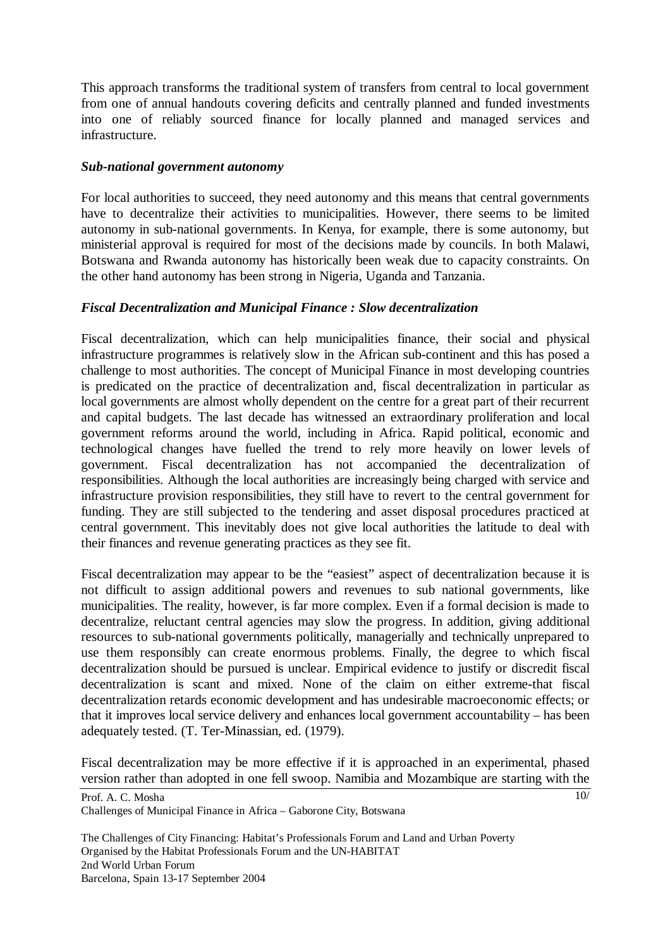This approach transforms the traditional system of transfers from central to local government from one of annual handouts covering deficits and centrally planned and funded investments into one of reliably sourced finance for locally planned and managed services and infrastructure.

#### *Sub-national government autonomy*

For local authorities to succeed, they need autonomy and this means that central governments have to decentralize their activities to municipalities. However, there seems to be limited autonomy in sub-national governments. In Kenya, for example, there is some autonomy, but ministerial approval is required for most of the decisions made by councils. In both Malawi, Botswana and Rwanda autonomy has historically been weak due to capacity constraints. On the other hand autonomy has been strong in Nigeria, Uganda and Tanzania.

## *Fiscal Decentralization and Municipal Finance : Slow decentralization*

Fiscal decentralization, which can help municipalities finance, their social and physical infrastructure programmes is relatively slow in the African sub-continent and this has posed a challenge to most authorities. The concept of Municipal Finance in most developing countries is predicated on the practice of decentralization and, fiscal decentralization in particular as local governments are almost wholly dependent on the centre for a great part of their recurrent and capital budgets. The last decade has witnessed an extraordinary proliferation and local government reforms around the world, including in Africa. Rapid political, economic and technological changes have fuelled the trend to rely more heavily on lower levels of government. Fiscal decentralization has not accompanied the decentralization of responsibilities. Although the local authorities are increasingly being charged with service and infrastructure provision responsibilities, they still have to revert to the central government for funding. They are still subjected to the tendering and asset disposal procedures practiced at central government. This inevitably does not give local authorities the latitude to deal with their finances and revenue generating practices as they see fit.

Fiscal decentralization may appear to be the "easiest" aspect of decentralization because it is not difficult to assign additional powers and revenues to sub national governments, like municipalities. The reality, however, is far more complex. Even if a formal decision is made to decentralize, reluctant central agencies may slow the progress. In addition, giving additional resources to sub-national governments politically, managerially and technically unprepared to use them responsibly can create enormous problems. Finally, the degree to which fiscal decentralization should be pursued is unclear. Empirical evidence to justify or discredit fiscal decentralization is scant and mixed. None of the claim on either extreme-that fiscal decentralization retards economic development and has undesirable macroeconomic effects; or that it improves local service delivery and enhances local government accountability – has been adequately tested. (T. Ter-Minassian, ed. (1979).

Fiscal decentralization may be more effective if it is approached in an experimental, phased version rather than adopted in one fell swoop. Namibia and Mozambique are starting with the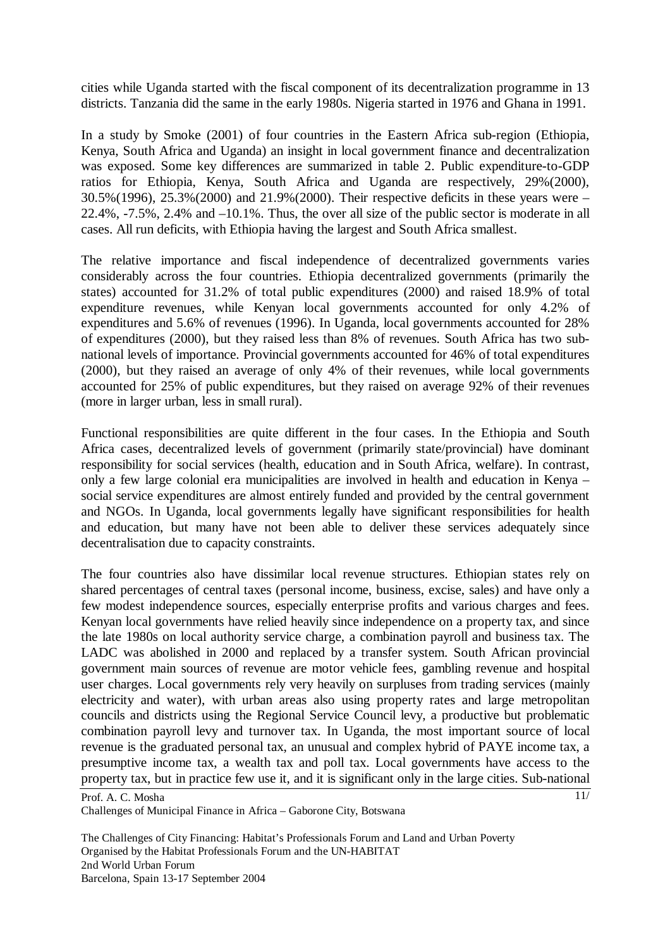cities while Uganda started with the fiscal component of its decentralization programme in 13 districts. Tanzania did the same in the early 1980s. Nigeria started in 1976 and Ghana in 1991.

In a study by Smoke (2001) of four countries in the Eastern Africa sub-region (Ethiopia, Kenya, South Africa and Uganda) an insight in local government finance and decentralization was exposed. Some key differences are summarized in table 2. Public expenditure-to-GDP ratios for Ethiopia, Kenya, South Africa and Uganda are respectively, 29%(2000), 30.5%(1996), 25.3%(2000) and 21.9%(2000). Their respective deficits in these years were – 22.4%, -7.5%, 2.4% and –10.1%. Thus, the over all size of the public sector is moderate in all cases. All run deficits, with Ethiopia having the largest and South Africa smallest.

The relative importance and fiscal independence of decentralized governments varies considerably across the four countries. Ethiopia decentralized governments (primarily the states) accounted for 31.2% of total public expenditures (2000) and raised 18.9% of total expenditure revenues, while Kenyan local governments accounted for only 4.2% of expenditures and 5.6% of revenues (1996). In Uganda, local governments accounted for 28% of expenditures (2000), but they raised less than 8% of revenues. South Africa has two subnational levels of importance. Provincial governments accounted for 46% of total expenditures (2000), but they raised an average of only 4% of their revenues, while local governments accounted for 25% of public expenditures, but they raised on average 92% of their revenues (more in larger urban, less in small rural).

Functional responsibilities are quite different in the four cases. In the Ethiopia and South Africa cases, decentralized levels of government (primarily state/provincial) have dominant responsibility for social services (health, education and in South Africa, welfare). In contrast, only a few large colonial era municipalities are involved in health and education in Kenya – social service expenditures are almost entirely funded and provided by the central government and NGOs. In Uganda, local governments legally have significant responsibilities for health and education, but many have not been able to deliver these services adequately since decentralisation due to capacity constraints.

The four countries also have dissimilar local revenue structures. Ethiopian states rely on shared percentages of central taxes (personal income, business, excise, sales) and have only a few modest independence sources, especially enterprise profits and various charges and fees. Kenyan local governments have relied heavily since independence on a property tax, and since the late 1980s on local authority service charge, a combination payroll and business tax. The LADC was abolished in 2000 and replaced by a transfer system. South African provincial government main sources of revenue are motor vehicle fees, gambling revenue and hospital user charges. Local governments rely very heavily on surpluses from trading services (mainly electricity and water), with urban areas also using property rates and large metropolitan councils and districts using the Regional Service Council levy, a productive but problematic combination payroll levy and turnover tax. In Uganda, the most important source of local revenue is the graduated personal tax, an unusual and complex hybrid of PAYE income tax, a presumptive income tax, a wealth tax and poll tax. Local governments have access to the property tax, but in practice few use it, and it is significant only in the large cities. Sub-national

11/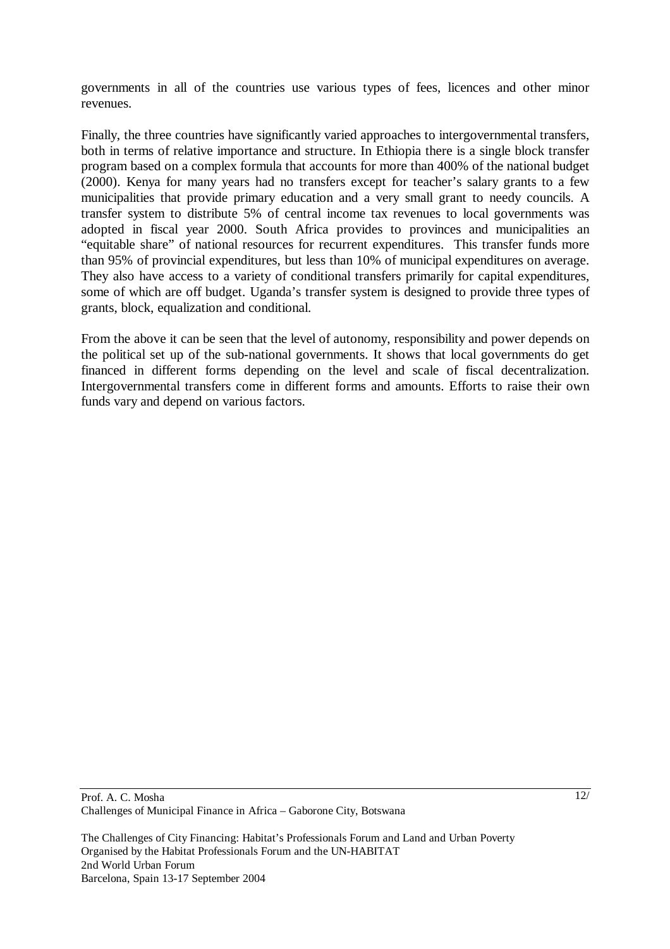governments in all of the countries use various types of fees, licences and other minor revenues.

Finally, the three countries have significantly varied approaches to intergovernmental transfers, both in terms of relative importance and structure. In Ethiopia there is a single block transfer program based on a complex formula that accounts for more than 400% of the national budget (2000). Kenya for many years had no transfers except for teacher's salary grants to a few municipalities that provide primary education and a very small grant to needy councils. A transfer system to distribute 5% of central income tax revenues to local governments was adopted in fiscal year 2000. South Africa provides to provinces and municipalities an "equitable share" of national resources for recurrent expenditures. This transfer funds more than 95% of provincial expenditures, but less than 10% of municipal expenditures on average. They also have access to a variety of conditional transfers primarily for capital expenditures, some of which are off budget. Uganda's transfer system is designed to provide three types of grants, block, equalization and conditional.

From the above it can be seen that the level of autonomy, responsibility and power depends on the political set up of the sub-national governments. It shows that local governments do get financed in different forms depending on the level and scale of fiscal decentralization. Intergovernmental transfers come in different forms and amounts. Efforts to raise their own funds vary and depend on various factors.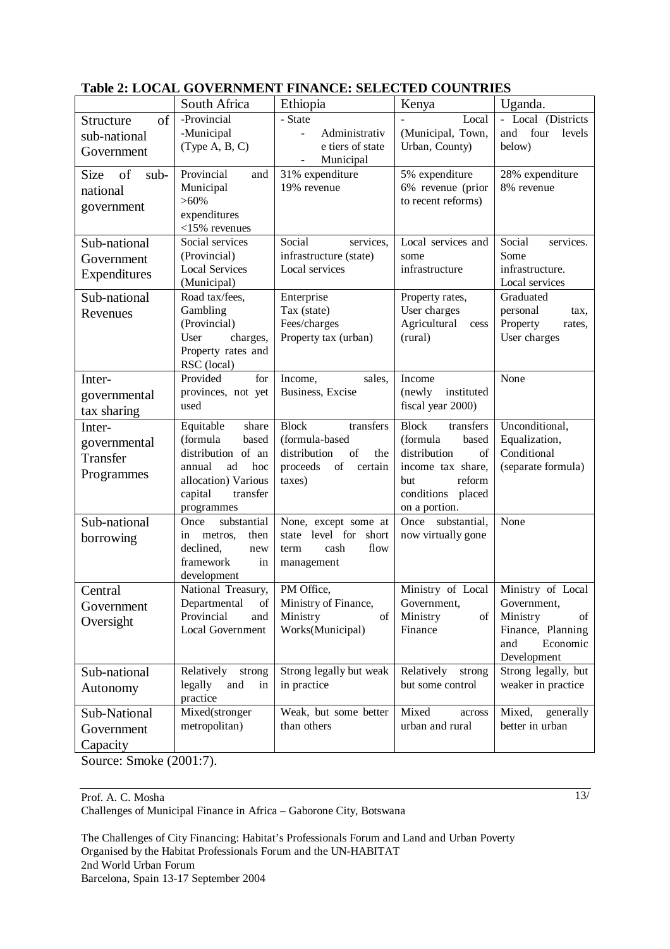|                           | South Africa                      | Ethiopia                                                                                                                  | Kenya                              | Uganda.               |
|---------------------------|-----------------------------------|---------------------------------------------------------------------------------------------------------------------------|------------------------------------|-----------------------|
| of<br>Structure           | -Provincial                       | - State                                                                                                                   | Local                              | - Local (Districts    |
| sub-national              | -Municipal                        | Administrativ<br>$\sim$                                                                                                   | (Municipal, Town,                  | four<br>and<br>levels |
|                           | (Type A, B, C)                    | e tiers of state                                                                                                          | Urban, County)                     | below)                |
| Government                |                                   | Municipal                                                                                                                 |                                    |                       |
| <b>Size</b><br>of<br>sub- | Provincial<br>and                 | 31% expenditure                                                                                                           | 5% expenditure                     | 28% expenditure       |
| national                  | Municipal                         | 19% revenue                                                                                                               | 6% revenue (prior                  | 8% revenue            |
| government                | $>60\%$                           |                                                                                                                           | to recent reforms)                 |                       |
|                           | expenditures                      |                                                                                                                           |                                    |                       |
|                           | $<$ 15% revenues                  |                                                                                                                           |                                    |                       |
| Sub-national              | Social services                   | Social<br>services,                                                                                                       | Local services and                 | Social<br>services.   |
| Government                | (Provincial)                      | infrastructure (state)                                                                                                    | some                               | Some                  |
| Expenditures              | <b>Local Services</b>             | Local services                                                                                                            | infrastructure                     | infrastructure.       |
|                           | (Municipal)                       |                                                                                                                           |                                    | Local services        |
| Sub-national              | Road tax/fees,                    | Enterprise                                                                                                                | Property rates,                    | Graduated             |
| Revenues                  | Gambling                          | Tax (state)                                                                                                               | User charges                       | personal<br>tax,      |
|                           | (Provincial)                      | Fees/charges                                                                                                              | Agricultural<br>cess               | Property<br>rates,    |
|                           | User<br>charges,                  | Property tax (urban)                                                                                                      | (rural)                            | User charges          |
|                           | Property rates and                |                                                                                                                           |                                    |                       |
|                           | RSC (local)<br>Provided<br>for    |                                                                                                                           | Income                             | None                  |
| Inter-                    | provinces, not yet                | Income,<br>sales,<br>Business, Excise                                                                                     | instituted<br>(newly               |                       |
| governmental              | used                              |                                                                                                                           | fiscal year 2000)                  |                       |
| tax sharing               |                                   |                                                                                                                           |                                    |                       |
| Inter-                    | Equitable<br>share                | <b>Block</b><br>transfers                                                                                                 | <b>Block</b><br>transfers          | Unconditional,        |
| governmental              | (formula<br>based                 | (formula-based                                                                                                            | (formula<br>based                  | Equalization,         |
| Transfer                  | distribution of an                | distribution<br>of<br>the                                                                                                 | distribution<br>of                 | Conditional           |
| Programmes                | ad<br>annual<br>hoc               | $% \left( \left( \mathcal{A},\mathcal{A}\right) \right) =\left( \mathcal{A},\mathcal{A}\right)$ of<br>proceeds<br>certain | income tax share,                  | (separate formula)    |
|                           | allocation) Various               | taxes)                                                                                                                    | reform<br>but                      |                       |
|                           | capital<br>transfer               |                                                                                                                           | conditions<br>placed               |                       |
| Sub-national              | programmes<br>substantial<br>Once |                                                                                                                           | on a portion.<br>Once substantial, | None                  |
|                           | then<br>metros,<br>in             | None, except some at<br>state level for<br>short                                                                          | now virtually gone                 |                       |
| borrowing                 | declined,<br>new                  | flow<br>cash<br>term                                                                                                      |                                    |                       |
|                           | framework<br>in                   | management                                                                                                                |                                    |                       |
|                           | development                       |                                                                                                                           |                                    |                       |
| Central                   | National Treasury,                | PM Office,                                                                                                                | Ministry of Local                  | Ministry of Local     |
| Government                | Departmental<br>of                | Ministry of Finance,                                                                                                      | Government,                        | Government,           |
|                           | Provincial<br>and                 | Ministry<br>of                                                                                                            | Ministry<br>of                     | Ministry<br>of        |
| Oversight                 | <b>Local Government</b>           | Works(Municipal)                                                                                                          | Finance                            | Finance, Planning     |
|                           |                                   |                                                                                                                           |                                    | Economic<br>and       |
|                           |                                   |                                                                                                                           |                                    | Development           |
| Sub-national              | Relatively<br>strong              | Strong legally but weak                                                                                                   | Relatively<br>strong               | Strong legally, but   |
| Autonomy                  | legally<br>and<br>in              | in practice                                                                                                               | but some control                   | weaker in practice    |
|                           | practice                          |                                                                                                                           |                                    |                       |
| Sub-National              | Mixed(stronger                    | Weak, but some better                                                                                                     | Mixed<br>across                    | Mixed,<br>generally   |
| Government                | metropolitan)                     | than others                                                                                                               | urban and rural                    | better in urban       |
|                           |                                   |                                                                                                                           |                                    |                       |

### **Table 2: LOCAL GOVERNMENT FINANCE: SELECTED COUNTRIES**

Source: Smoke (2001:7).

Prof. A. C. Mosha Challenges of Municipal Finance in Africa – Gaborone City, Botswana 13/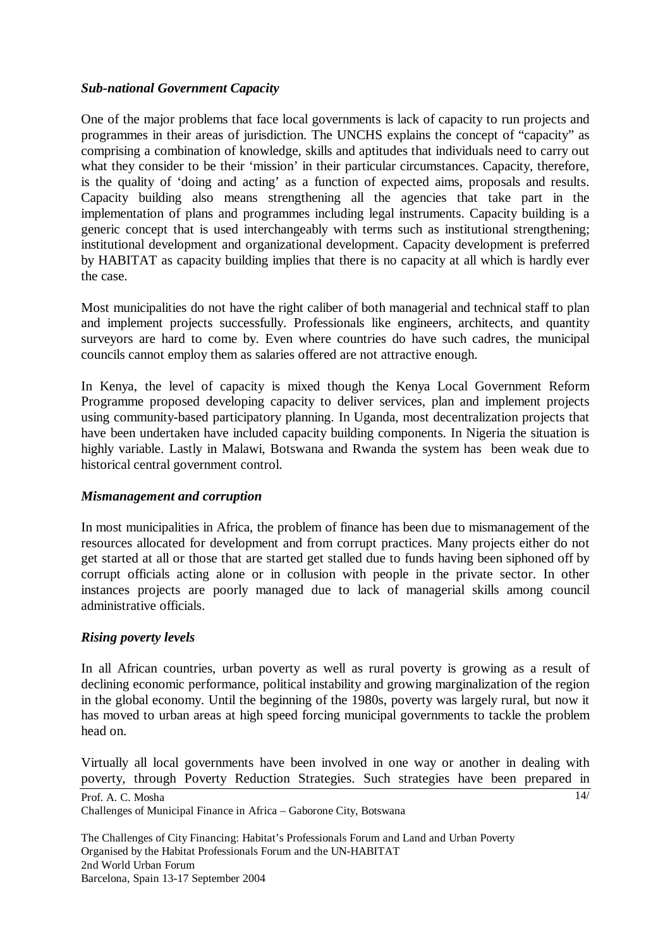### *Sub-national Government Capacity*

One of the major problems that face local governments is lack of capacity to run projects and programmes in their areas of jurisdiction. The UNCHS explains the concept of "capacity" as comprising a combination of knowledge, skills and aptitudes that individuals need to carry out what they consider to be their 'mission' in their particular circumstances. Capacity, therefore, is the quality of 'doing and acting' as a function of expected aims, proposals and results. Capacity building also means strengthening all the agencies that take part in the implementation of plans and programmes including legal instruments. Capacity building is a generic concept that is used interchangeably with terms such as institutional strengthening; institutional development and organizational development. Capacity development is preferred by HABITAT as capacity building implies that there is no capacity at all which is hardly ever the case.

Most municipalities do not have the right caliber of both managerial and technical staff to plan and implement projects successfully. Professionals like engineers, architects, and quantity surveyors are hard to come by. Even where countries do have such cadres, the municipal councils cannot employ them as salaries offered are not attractive enough.

In Kenya, the level of capacity is mixed though the Kenya Local Government Reform Programme proposed developing capacity to deliver services, plan and implement projects using community-based participatory planning. In Uganda, most decentralization projects that have been undertaken have included capacity building components. In Nigeria the situation is highly variable. Lastly in Malawi, Botswana and Rwanda the system has been weak due to historical central government control.

#### *Mismanagement and corruption*

In most municipalities in Africa, the problem of finance has been due to mismanagement of the resources allocated for development and from corrupt practices. Many projects either do not get started at all or those that are started get stalled due to funds having been siphoned off by corrupt officials acting alone or in collusion with people in the private sector. In other instances projects are poorly managed due to lack of managerial skills among council administrative officials.

## *Rising poverty levels*

In all African countries, urban poverty as well as rural poverty is growing as a result of declining economic performance, political instability and growing marginalization of the region in the global economy. Until the beginning of the 1980s, poverty was largely rural, but now it has moved to urban areas at high speed forcing municipal governments to tackle the problem head on.

Virtually all local governments have been involved in one way or another in dealing with poverty, through Poverty Reduction Strategies. Such strategies have been prepared in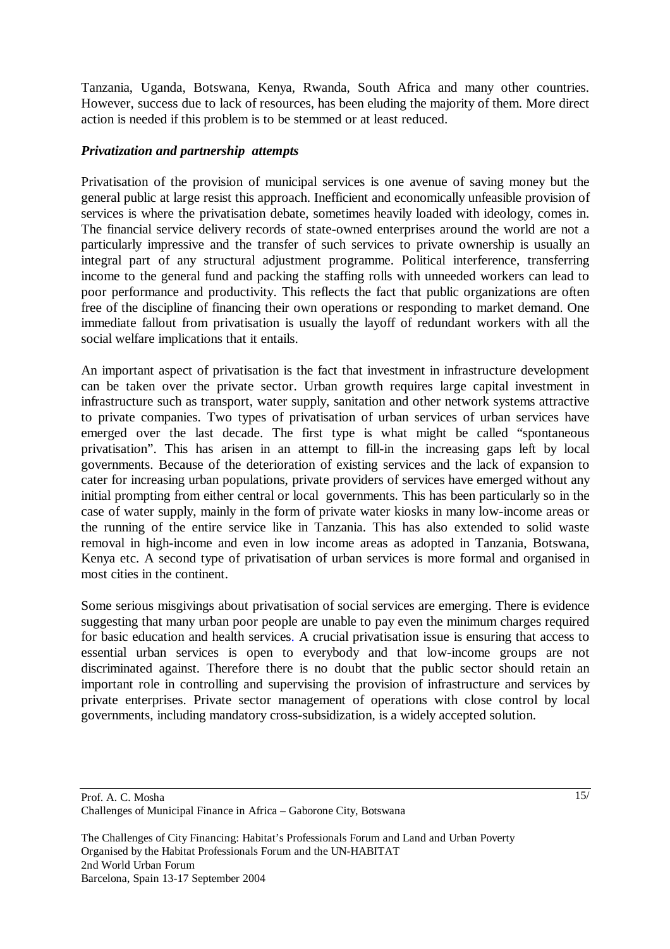Tanzania, Uganda, Botswana, Kenya, Rwanda, South Africa and many other countries. However, success due to lack of resources, has been eluding the majority of them. More direct action is needed if this problem is to be stemmed or at least reduced.

## *Privatization and partnership attempts*

Privatisation of the provision of municipal services is one avenue of saving money but the general public at large resist this approach. Inefficient and economically unfeasible provision of services is where the privatisation debate, sometimes heavily loaded with ideology, comes in. The financial service delivery records of state-owned enterprises around the world are not a particularly impressive and the transfer of such services to private ownership is usually an integral part of any structural adjustment programme. Political interference, transferring income to the general fund and packing the staffing rolls with unneeded workers can lead to poor performance and productivity. This reflects the fact that public organizations are often free of the discipline of financing their own operations or responding to market demand. One immediate fallout from privatisation is usually the layoff of redundant workers with all the social welfare implications that it entails.

An important aspect of privatisation is the fact that investment in infrastructure development can be taken over the private sector. Urban growth requires large capital investment in infrastructure such as transport, water supply, sanitation and other network systems attractive to private companies. Two types of privatisation of urban services of urban services have emerged over the last decade. The first type is what might be called "spontaneous privatisation". This has arisen in an attempt to fill-in the increasing gaps left by local governments. Because of the deterioration of existing services and the lack of expansion to cater for increasing urban populations, private providers of services have emerged without any initial prompting from either central or local governments. This has been particularly so in the case of water supply, mainly in the form of private water kiosks in many low-income areas or the running of the entire service like in Tanzania. This has also extended to solid waste removal in high-income and even in low income areas as adopted in Tanzania, Botswana, Kenya etc. A second type of privatisation of urban services is more formal and organised in most cities in the continent.

Some serious misgivings about privatisation of social services are emerging. There is evidence suggesting that many urban poor people are unable to pay even the minimum charges required for basic education and health services. A crucial privatisation issue is ensuring that access to essential urban services is open to everybody and that low-income groups are not discriminated against. Therefore there is no doubt that the public sector should retain an important role in controlling and supervising the provision of infrastructure and services by private enterprises. Private sector management of operations with close control by local governments, including mandatory cross-subsidization, is a widely accepted solution.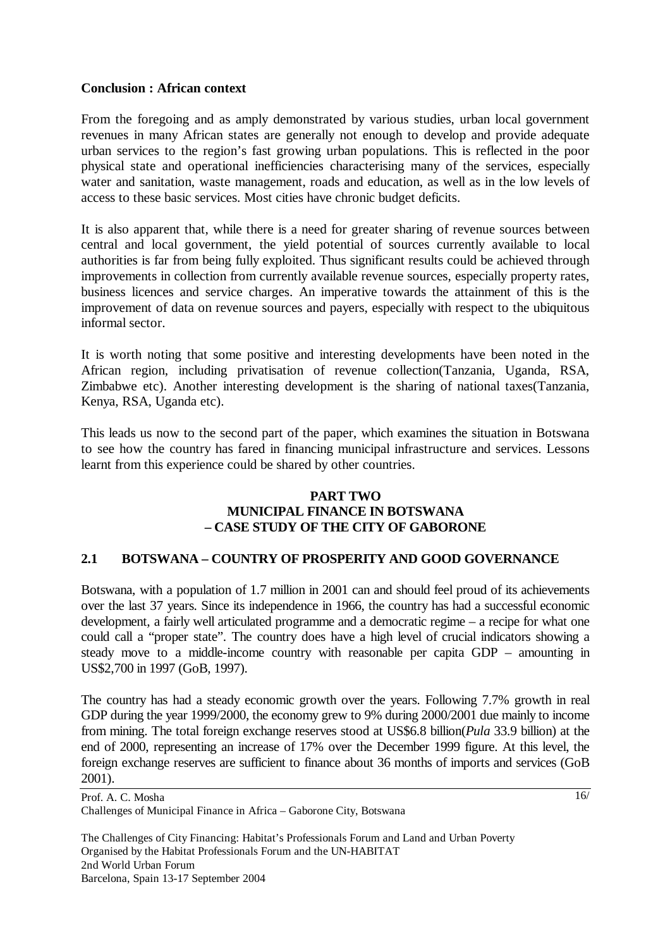#### **Conclusion : African context**

From the foregoing and as amply demonstrated by various studies, urban local government revenues in many African states are generally not enough to develop and provide adequate urban services to the region's fast growing urban populations. This is reflected in the poor physical state and operational inefficiencies characterising many of the services, especially water and sanitation, waste management, roads and education, as well as in the low levels of access to these basic services. Most cities have chronic budget deficits.

It is also apparent that, while there is a need for greater sharing of revenue sources between central and local government, the yield potential of sources currently available to local authorities is far from being fully exploited. Thus significant results could be achieved through improvements in collection from currently available revenue sources, especially property rates, business licences and service charges. An imperative towards the attainment of this is the improvement of data on revenue sources and payers, especially with respect to the ubiquitous informal sector.

It is worth noting that some positive and interesting developments have been noted in the African region, including privatisation of revenue collection(Tanzania, Uganda, RSA, Zimbabwe etc). Another interesting development is the sharing of national taxes(Tanzania, Kenya, RSA, Uganda etc).

This leads us now to the second part of the paper, which examines the situation in Botswana to see how the country has fared in financing municipal infrastructure and services. Lessons learnt from this experience could be shared by other countries.

#### **PART TWO MUNICIPAL FINANCE IN BOTSWANA – CASE STUDY OF THE CITY OF GABORONE**

#### **2.1 BOTSWANA – COUNTRY OF PROSPERITY AND GOOD GOVERNANCE**

Botswana, with a population of 1.7 million in 2001 can and should feel proud of its achievements over the last 37 years. Since its independence in 1966, the country has had a successful economic development, a fairly well articulated programme and a democratic regime – a recipe for what one could call a "proper state". The country does have a high level of crucial indicators showing a steady move to a middle-income country with reasonable per capita GDP – amounting in US\$2,700 in 1997 (GoB, 1997).

The country has had a steady economic growth over the years. Following 7.7% growth in real GDP during the year 1999/2000, the economy grew to 9% during 2000/2001 due mainly to income from mining. The total foreign exchange reserves stood at US\$6.8 billion(*Pula* 33.9 billion) at the end of 2000, representing an increase of 17% over the December 1999 figure. At this level, the foreign exchange reserves are sufficient to finance about 36 months of imports and services (GoB 2001).

Prof. A. C. Mosha Challenges of Municipal Finance in Africa – Gaborone City, Botswana  $16/$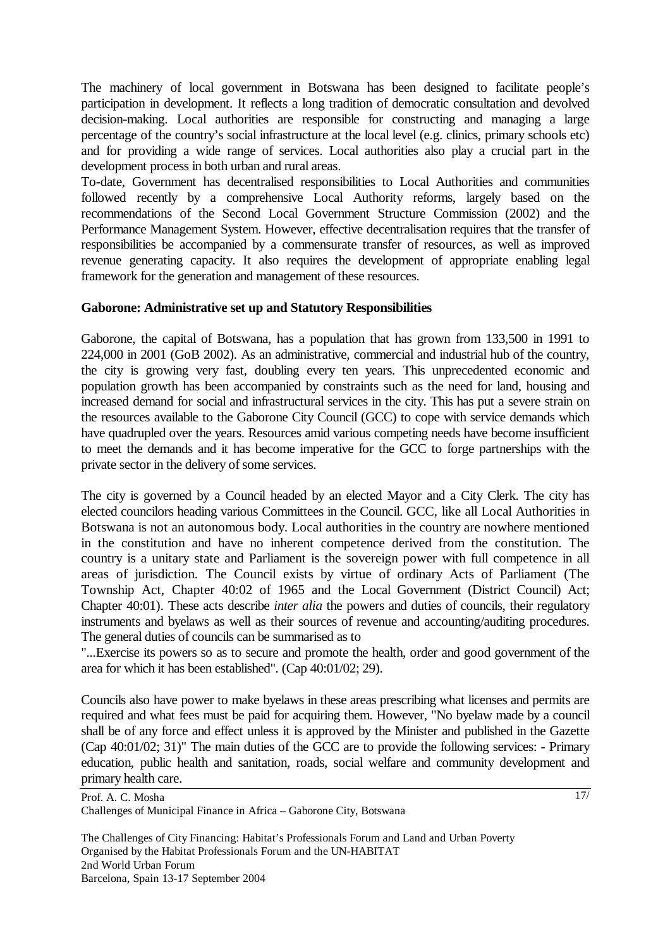The machinery of local government in Botswana has been designed to facilitate people's participation in development. It reflects a long tradition of democratic consultation and devolved decision-making. Local authorities are responsible for constructing and managing a large percentage of the country's social infrastructure at the local level (e.g. clinics, primary schools etc) and for providing a wide range of services. Local authorities also play a crucial part in the development process in both urban and rural areas.

To-date, Government has decentralised responsibilities to Local Authorities and communities followed recently by a comprehensive Local Authority reforms, largely based on the recommendations of the Second Local Government Structure Commission (2002) and the Performance Management System. However, effective decentralisation requires that the transfer of responsibilities be accompanied by a commensurate transfer of resources, as well as improved revenue generating capacity. It also requires the development of appropriate enabling legal framework for the generation and management of these resources.

#### **Gaborone: Administrative set up and Statutory Responsibilities**

Gaborone, the capital of Botswana, has a population that has grown from 133,500 in 1991 to 224,000 in 2001 (GoB 2002). As an administrative, commercial and industrial hub of the country, the city is growing very fast, doubling every ten years. This unprecedented economic and population growth has been accompanied by constraints such as the need for land, housing and increased demand for social and infrastructural services in the city. This has put a severe strain on the resources available to the Gaborone City Council (GCC) to cope with service demands which have quadrupled over the years. Resources amid various competing needs have become insufficient to meet the demands and it has become imperative for the GCC to forge partnerships with the private sector in the delivery of some services.

The city is governed by a Council headed by an elected Mayor and a City Clerk. The city has elected councilors heading various Committees in the Council. GCC, like all Local Authorities in Botswana is not an autonomous body. Local authorities in the country are nowhere mentioned in the constitution and have no inherent competence derived from the constitution. The country is a unitary state and Parliament is the sovereign power with full competence in all areas of jurisdiction. The Council exists by virtue of ordinary Acts of Parliament (The Township Act, Chapter 40:02 of 1965 and the Local Government (District Council) Act; Chapter 40:01). These acts describe *inter alia* the powers and duties of councils, their regulatory instruments and byelaws as well as their sources of revenue and accounting/auditing procedures. The general duties of councils can be summarised as to

"...Exercise its powers so as to secure and promote the health, order and good government of the area for which it has been established". (Cap 40:01/02; 29).

Councils also have power to make byelaws in these areas prescribing what licenses and permits are required and what fees must be paid for acquiring them. However, "No byelaw made by a council shall be of any force and effect unless it is approved by the Minister and published in the Gazette (Cap 40:01/02; 31)" The main duties of the GCC are to provide the following services: - Primary education, public health and sanitation, roads, social welfare and community development and primary health care.

Prof. A. C. Mosha Challenges of Municipal Finance in Africa – Gaborone City, Botswana 17/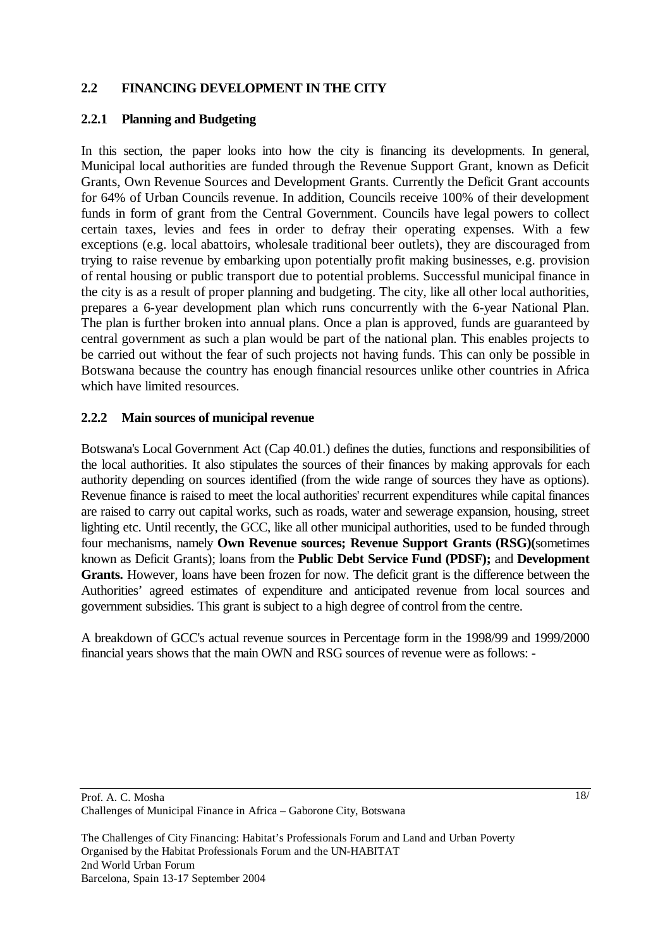## **2.2 FINANCING DEVELOPMENT IN THE CITY**

## **2.2.1 Planning and Budgeting**

In this section, the paper looks into how the city is financing its developments. In general, Municipal local authorities are funded through the Revenue Support Grant, known as Deficit Grants, Own Revenue Sources and Development Grants. Currently the Deficit Grant accounts for 64% of Urban Councils revenue. In addition, Councils receive 100% of their development funds in form of grant from the Central Government. Councils have legal powers to collect certain taxes, levies and fees in order to defray their operating expenses. With a few exceptions (e.g. local abattoirs, wholesale traditional beer outlets), they are discouraged from trying to raise revenue by embarking upon potentially profit making businesses, e.g. provision of rental housing or public transport due to potential problems. Successful municipal finance in the city is as a result of proper planning and budgeting. The city, like all other local authorities, prepares a 6-year development plan which runs concurrently with the 6-year National Plan. The plan is further broken into annual plans. Once a plan is approved, funds are guaranteed by central government as such a plan would be part of the national plan. This enables projects to be carried out without the fear of such projects not having funds. This can only be possible in Botswana because the country has enough financial resources unlike other countries in Africa which have limited resources.

## **2.2.2 Main sources of municipal revenue**

Botswana's Local Government Act (Cap 40.01.) defines the duties, functions and responsibilities of the local authorities. It also stipulates the sources of their finances by making approvals for each authority depending on sources identified (from the wide range of sources they have as options). Revenue finance is raised to meet the local authorities' recurrent expenditures while capital finances are raised to carry out capital works, such as roads, water and sewerage expansion, housing, street lighting etc. Until recently, the GCC, like all other municipal authorities, used to be funded through four mechanisms, namely **Own Revenue sources; Revenue Support Grants (RSG)(**sometimes known as Deficit Grants); loans from the **Public Debt Service Fund (PDSF);** and **Development Grants.** However, loans have been frozen for now. The deficit grant is the difference between the Authorities' agreed estimates of expenditure and anticipated revenue from local sources and government subsidies. This grant is subject to a high degree of control from the centre.

A breakdown of GCC's actual revenue sources in Percentage form in the 1998/99 and 1999/2000 financial years shows that the main OWN and RSG sources of revenue were as follows: -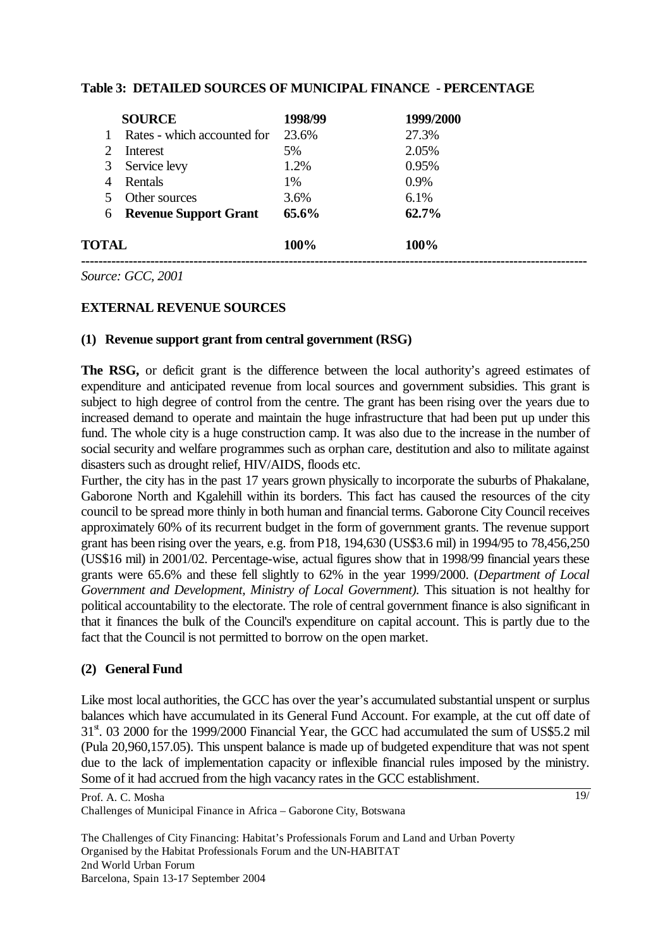#### **Table 3: DETAILED SOURCES OF MUNICIPAL FINANCE - PERCENTAGE**

| TOTAL                 |                              | 100%     | 100%      |  |
|-----------------------|------------------------------|----------|-----------|--|
| 6                     | <b>Revenue Support Grant</b> | $65.6\%$ | 62.7%     |  |
|                       | Other sources                | 3.6%     | 6.1%      |  |
| 4                     | Rentals                      | 1%       | 0.9%      |  |
| 3                     | Service levy                 | 1.2%     | 0.95%     |  |
| $\mathcal{D}_{\cdot}$ | Interest                     | 5%       | 2.05%     |  |
|                       | Rates - which accounted for  | 23.6%    | 27.3%     |  |
| <b>SOURCE</b>         |                              | 1998/99  | 1999/2000 |  |

*Source: GCC, 2001*

#### **EXTERNAL REVENUE SOURCES**

#### **(1) Revenue support grant from central government (RSG)**

The RSG, or deficit grant is the difference between the local authority's agreed estimates of expenditure and anticipated revenue from local sources and government subsidies. This grant is subject to high degree of control from the centre. The grant has been rising over the years due to increased demand to operate and maintain the huge infrastructure that had been put up under this fund. The whole city is a huge construction camp. It was also due to the increase in the number of social security and welfare programmes such as orphan care, destitution and also to militate against disasters such as drought relief, HIV/AIDS, floods etc.

Further, the city has in the past 17 years grown physically to incorporate the suburbs of Phakalane, Gaborone North and Kgalehill within its borders. This fact has caused the resources of the city council to be spread more thinly in both human and financial terms. Gaborone City Council receives approximately 60% of its recurrent budget in the form of government grants. The revenue support grant has been rising over the years, e.g. from P18, 194,630 (US\$3.6 mil) in 1994/95 to 78,456,250 (US\$16 mil) in 2001/02. Percentage-wise, actual figures show that in 1998/99 financial years these grants were 65.6% and these fell slightly to 62% in the year 1999/2000. (*Department of Local Government and Development, Ministry of Local Government).* This situation is not healthy for political accountability to the electorate. The role of central government finance is also significant in that it finances the bulk of the Council's expenditure on capital account. This is partly due to the fact that the Council is not permitted to borrow on the open market.

#### **(2) General Fund**

Like most local authorities, the GCC has over the year's accumulated substantial unspent or surplus balances which have accumulated in its General Fund Account. For example, at the cut off date of 31<sup>st</sup>. 03 2000 for the 1999/2000 Financial Year, the GCC had accumulated the sum of US\$5.2 mil (Pula 20,960,157.05). This unspent balance is made up of budgeted expenditure that was not spent due to the lack of implementation capacity or inflexible financial rules imposed by the ministry. Some of it had accrued from the high vacancy rates in the GCC establishment.

Prof. A. C. Mosha Challenges of Municipal Finance in Africa – Gaborone City, Botswana 19/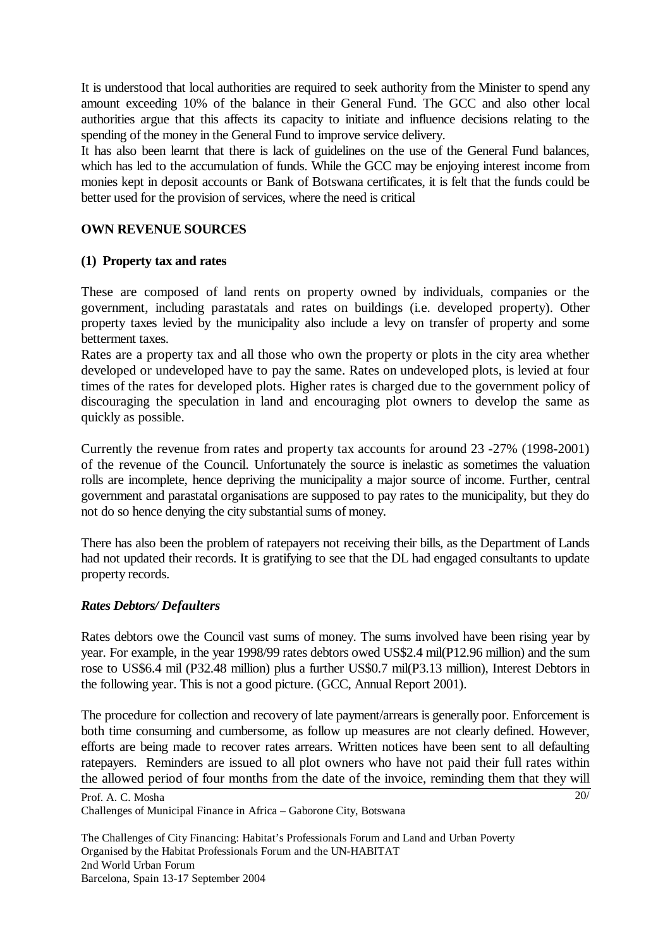It is understood that local authorities are required to seek authority from the Minister to spend any amount exceeding 10% of the balance in their General Fund. The GCC and also other local authorities argue that this affects its capacity to initiate and influence decisions relating to the spending of the money in the General Fund to improve service delivery.

It has also been learnt that there is lack of guidelines on the use of the General Fund balances, which has led to the accumulation of funds. While the GCC may be enjoying interest income from monies kept in deposit accounts or Bank of Botswana certificates, it is felt that the funds could be better used for the provision of services, where the need is critical

## **OWN REVENUE SOURCES**

## **(1) Property tax and rates**

These are composed of land rents on property owned by individuals, companies or the government, including parastatals and rates on buildings (i.e. developed property). Other property taxes levied by the municipality also include a levy on transfer of property and some betterment taxes.

Rates are a property tax and all those who own the property or plots in the city area whether developed or undeveloped have to pay the same. Rates on undeveloped plots, is levied at four times of the rates for developed plots. Higher rates is charged due to the government policy of discouraging the speculation in land and encouraging plot owners to develop the same as quickly as possible.

Currently the revenue from rates and property tax accounts for around 23 -27% (1998-2001) of the revenue of the Council. Unfortunately the source is inelastic as sometimes the valuation rolls are incomplete, hence depriving the municipality a major source of income. Further, central government and parastatal organisations are supposed to pay rates to the municipality, but they do not do so hence denying the city substantial sums of money.

There has also been the problem of ratepayers not receiving their bills, as the Department of Lands had not updated their records. It is gratifying to see that the DL had engaged consultants to update property records.

#### *Rates Debtors/ Defaulters*

Rates debtors owe the Council vast sums of money. The sums involved have been rising year by year. For example, in the year 1998/99 rates debtors owed US\$2.4 mil(P12.96 million) and the sum rose to US\$6.4 mil (P32.48 million) plus a further US\$0.7 mil(P3.13 million), Interest Debtors in the following year. This is not a good picture. (GCC, Annual Report 2001).

The procedure for collection and recovery of late payment/arrears is generally poor. Enforcement is both time consuming and cumbersome, as follow up measures are not clearly defined. However, efforts are being made to recover rates arrears. Written notices have been sent to all defaulting ratepayers. Reminders are issued to all plot owners who have not paid their full rates within the allowed period of four months from the date of the invoice, reminding them that they will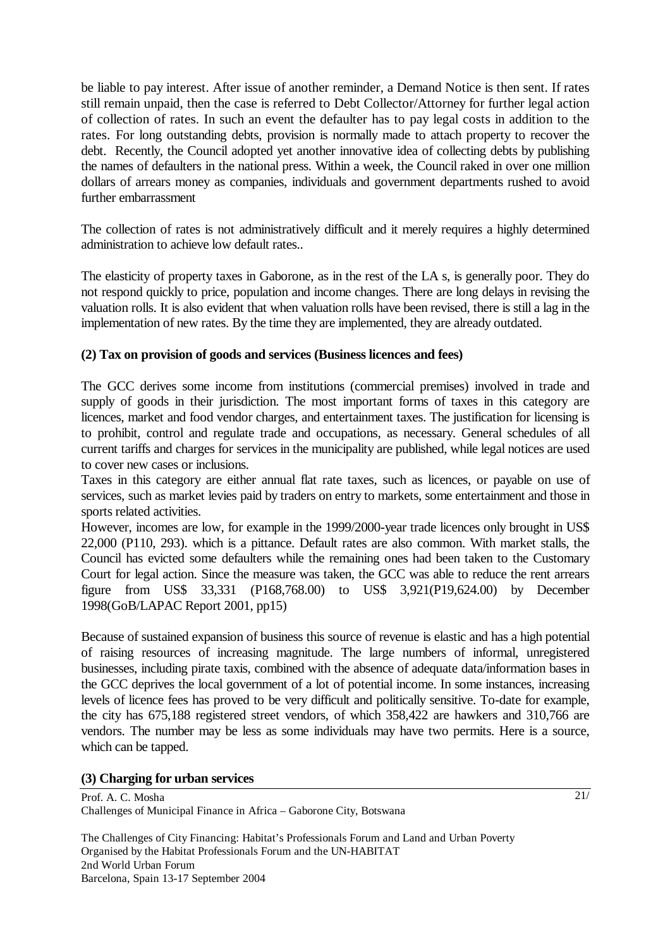be liable to pay interest. After issue of another reminder, a Demand Notice is then sent. If rates still remain unpaid, then the case is referred to Debt Collector/Attorney for further legal action of collection of rates. In such an event the defaulter has to pay legal costs in addition to the rates. For long outstanding debts, provision is normally made to attach property to recover the debt. Recently, the Council adopted yet another innovative idea of collecting debts by publishing the names of defaulters in the national press. Within a week, the Council raked in over one million dollars of arrears money as companies, individuals and government departments rushed to avoid further embarrassment

The collection of rates is not administratively difficult and it merely requires a highly determined administration to achieve low default rates..

The elasticity of property taxes in Gaborone, as in the rest of the LA s, is generally poor. They do not respond quickly to price, population and income changes. There are long delays in revising the valuation rolls. It is also evident that when valuation rolls have been revised, there is still a lag in the implementation of new rates. By the time they are implemented, they are already outdated.

## **(2) Tax on provision of goods and services (Business licences and fees)**

The GCC derives some income from institutions (commercial premises) involved in trade and supply of goods in their jurisdiction. The most important forms of taxes in this category are licences, market and food vendor charges, and entertainment taxes. The justification for licensing is to prohibit, control and regulate trade and occupations, as necessary. General schedules of all current tariffs and charges for services in the municipality are published, while legal notices are used to cover new cases or inclusions.

Taxes in this category are either annual flat rate taxes, such as licences, or payable on use of services, such as market levies paid by traders on entry to markets, some entertainment and those in sports related activities.

However, incomes are low, for example in the 1999/2000-year trade licences only brought in US\$ 22,000 (P110, 293). which is a pittance. Default rates are also common. With market stalls, the Council has evicted some defaulters while the remaining ones had been taken to the Customary Court for legal action. Since the measure was taken, the GCC was able to reduce the rent arrears figure from US\$ 33,331 (P168,768.00) to US\$ 3,921(P19,624.00) by December 1998(GoB/LAPAC Report 2001, pp15)

Because of sustained expansion of business this source of revenue is elastic and has a high potential of raising resources of increasing magnitude. The large numbers of informal, unregistered businesses, including pirate taxis, combined with the absence of adequate data/information bases in the GCC deprives the local government of a lot of potential income. In some instances, increasing levels of licence fees has proved to be very difficult and politically sensitive. To-date for example, the city has 675,188 registered street vendors, of which 358,422 are hawkers and 310,766 are vendors. The number may be less as some individuals may have two permits. Here is a source, which can be tapped.

#### **(3) Charging for urban services**

Prof. A. C. Mosha Challenges of Municipal Finance in Africa – Gaborone City, Botswana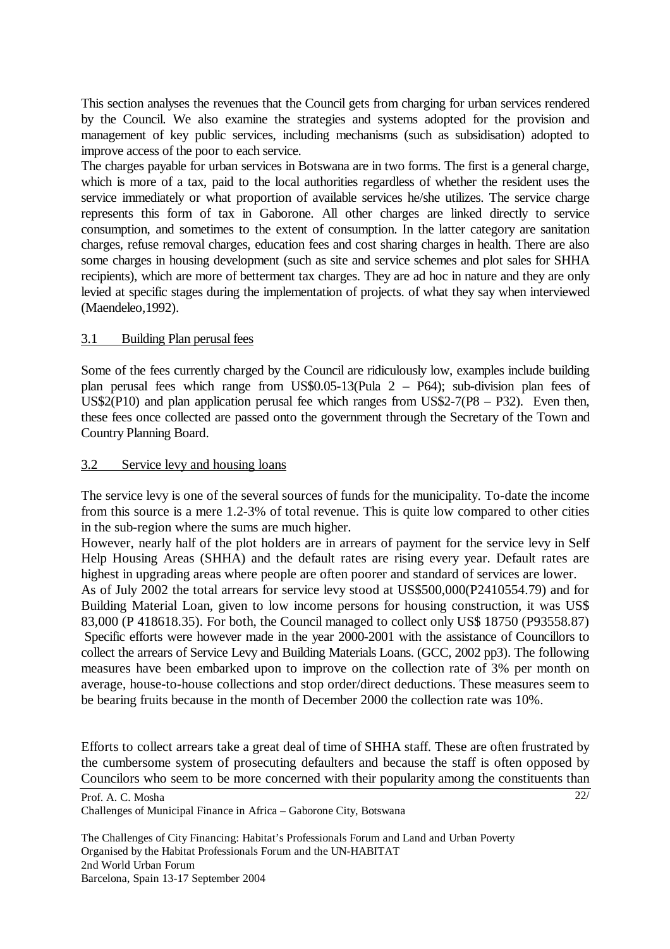This section analyses the revenues that the Council gets from charging for urban services rendered by the Council. We also examine the strategies and systems adopted for the provision and management of key public services, including mechanisms (such as subsidisation) adopted to improve access of the poor to each service.

The charges payable for urban services in Botswana are in two forms. The first is a general charge, which is more of a tax, paid to the local authorities regardless of whether the resident uses the service immediately or what proportion of available services he/she utilizes. The service charge represents this form of tax in Gaborone. All other charges are linked directly to service consumption, and sometimes to the extent of consumption. In the latter category are sanitation charges, refuse removal charges, education fees and cost sharing charges in health. There are also some charges in housing development (such as site and service schemes and plot sales for SHHA recipients), which are more of betterment tax charges. They are ad hoc in nature and they are only levied at specific stages during the implementation of projects. of what they say when interviewed (Maendeleo,1992).

## 3.1 Building Plan perusal fees

Some of the fees currently charged by the Council are ridiculously low, examples include building plan perusal fees which range from US\$0.05-13(Pula 2 – P64); sub-division plan fees of US\$2(P10) and plan application perusal fee which ranges from US\$2-7( $P8 - P32$ ). Even then, these fees once collected are passed onto the government through the Secretary of the Town and Country Planning Board.

#### 3.2 Service levy and housing loans

The service levy is one of the several sources of funds for the municipality. To-date the income from this source is a mere 1.2-3% of total revenue. This is quite low compared to other cities in the sub-region where the sums are much higher.

However, nearly half of the plot holders are in arrears of payment for the service levy in Self Help Housing Areas (SHHA) and the default rates are rising every year. Default rates are highest in upgrading areas where people are often poorer and standard of services are lower.

As of July 2002 the total arrears for service levy stood at US\$500,000(P2410554.79) and for Building Material Loan, given to low income persons for housing construction, it was US\$ 83,000 (P 418618.35). For both, the Council managed to collect only US\$ 18750 (P93558.87) Specific efforts were however made in the year 2000-2001 with the assistance of Councillors to collect the arrears of Service Levy and Building Materials Loans. (GCC, 2002 pp3). The following measures have been embarked upon to improve on the collection rate of 3% per month on average, house-to-house collections and stop order/direct deductions. These measures seem to be bearing fruits because in the month of December 2000 the collection rate was 10%.

Efforts to collect arrears take a great deal of time of SHHA staff. These are often frustrated by the cumbersome system of prosecuting defaulters and because the staff is often opposed by Councilors who seem to be more concerned with their popularity among the constituents than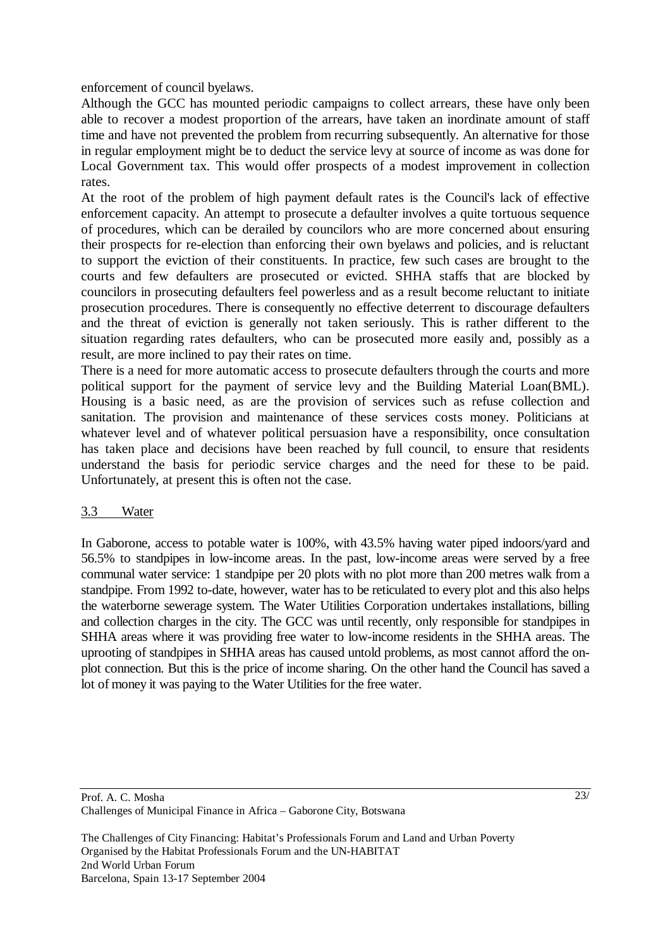enforcement of council byelaws.

Although the GCC has mounted periodic campaigns to collect arrears, these have only been able to recover a modest proportion of the arrears, have taken an inordinate amount of staff time and have not prevented the problem from recurring subsequently. An alternative for those in regular employment might be to deduct the service levy at source of income as was done for Local Government tax. This would offer prospects of a modest improvement in collection rates.

At the root of the problem of high payment default rates is the Council's lack of effective enforcement capacity. An attempt to prosecute a defaulter involves a quite tortuous sequence of procedures, which can be derailed by councilors who are more concerned about ensuring their prospects for re-election than enforcing their own byelaws and policies, and is reluctant to support the eviction of their constituents. In practice, few such cases are brought to the courts and few defaulters are prosecuted or evicted. SHHA staffs that are blocked by councilors in prosecuting defaulters feel powerless and as a result become reluctant to initiate prosecution procedures. There is consequently no effective deterrent to discourage defaulters and the threat of eviction is generally not taken seriously. This is rather different to the situation regarding rates defaulters, who can be prosecuted more easily and, possibly as a result, are more inclined to pay their rates on time.

There is a need for more automatic access to prosecute defaulters through the courts and more political support for the payment of service levy and the Building Material Loan(BML). Housing is a basic need, as are the provision of services such as refuse collection and sanitation. The provision and maintenance of these services costs money. Politicians at whatever level and of whatever political persuasion have a responsibility, once consultation has taken place and decisions have been reached by full council, to ensure that residents understand the basis for periodic service charges and the need for these to be paid. Unfortunately, at present this is often not the case.

#### 3.3 Water

In Gaborone, access to potable water is 100%, with 43.5% having water piped indoors/yard and 56.5% to standpipes in low-income areas. In the past, low-income areas were served by a free communal water service: 1 standpipe per 20 plots with no plot more than 200 metres walk from a standpipe. From 1992 to-date, however, water has to be reticulated to every plot and this also helps the waterborne sewerage system. The Water Utilities Corporation undertakes installations, billing and collection charges in the city. The GCC was until recently, only responsible for standpipes in SHHA areas where it was providing free water to low-income residents in the SHHA areas. The uprooting of standpipes in SHHA areas has caused untold problems, as most cannot afford the onplot connection. But this is the price of income sharing. On the other hand the Council has saved a lot of money it was paying to the Water Utilities for the free water.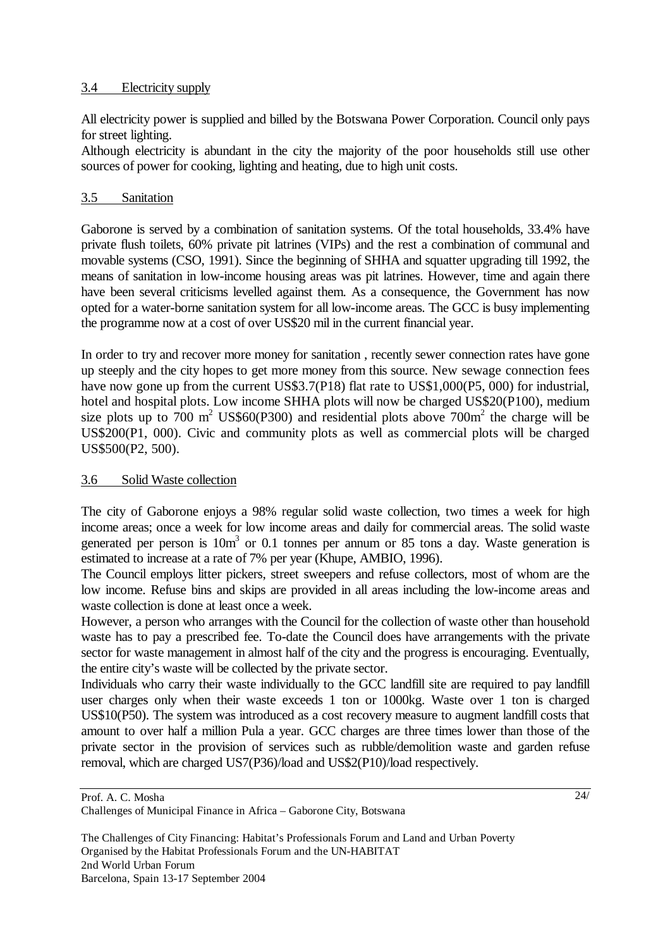### 3.4 Electricity supply

All electricity power is supplied and billed by the Botswana Power Corporation. Council only pays for street lighting.

Although electricity is abundant in the city the majority of the poor households still use other sources of power for cooking, lighting and heating, due to high unit costs.

## 3.5 Sanitation

Gaborone is served by a combination of sanitation systems. Of the total households, 33.4% have private flush toilets, 60% private pit latrines (VIPs) and the rest a combination of communal and movable systems (CSO, 1991). Since the beginning of SHHA and squatter upgrading till 1992, the means of sanitation in low-income housing areas was pit latrines. However, time and again there have been several criticisms levelled against them. As a consequence, the Government has now opted for a water-borne sanitation system for all low-income areas. The GCC is busy implementing the programme now at a cost of over US\$20 mil in the current financial year.

In order to try and recover more money for sanitation , recently sewer connection rates have gone up steeply and the city hopes to get more money from this source. New sewage connection fees have now gone up from the current US\$3.7(P18) flat rate to US\$1,000(P5, 000) for industrial, hotel and hospital plots. Low income SHHA plots will now be charged US\$20(P100), medium size plots up to 700 m<sup>2</sup> US\$60(P300) and residential plots above 700m<sup>2</sup> the charge will be US\$200(P1, 000). Civic and community plots as well as commercial plots will be charged US\$500(P2, 500).

## 3.6 Solid Waste collection

The city of Gaborone enjoys a 98% regular solid waste collection, two times a week for high income areas; once a week for low income areas and daily for commercial areas. The solid waste generated per person is  $10m<sup>3</sup>$  or 0.1 tonnes per annum or 85 tons a day. Waste generation is estimated to increase at a rate of 7% per year (Khupe, AMBIO, 1996).

The Council employs litter pickers, street sweepers and refuse collectors, most of whom are the low income. Refuse bins and skips are provided in all areas including the low-income areas and waste collection is done at least once a week.

However, a person who arranges with the Council for the collection of waste other than household waste has to pay a prescribed fee. To-date the Council does have arrangements with the private sector for waste management in almost half of the city and the progress is encouraging. Eventually, the entire city's waste will be collected by the private sector.

Individuals who carry their waste individually to the GCC landfill site are required to pay landfill user charges only when their waste exceeds 1 ton or 1000kg. Waste over 1 ton is charged US\$10(P50). The system was introduced as a cost recovery measure to augment landfill costs that amount to over half a million Pula a year. GCC charges are three times lower than those of the private sector in the provision of services such as rubble/demolition waste and garden refuse removal, which are charged US7(P36)/load and US\$2(P10)/load respectively.

Prof. A. C. Mosha Challenges of Municipal Finance in Africa – Gaborone City, Botswana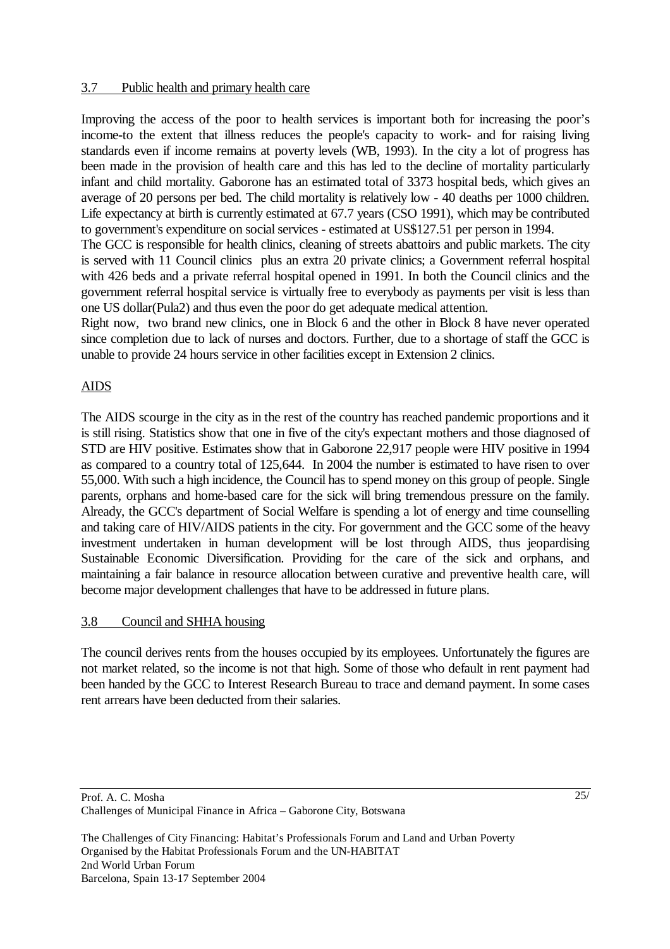#### 3.7 Public health and primary health care

Improving the access of the poor to health services is important both for increasing the poor's income-to the extent that illness reduces the people's capacity to work- and for raising living standards even if income remains at poverty levels (WB, 1993). In the city a lot of progress has been made in the provision of health care and this has led to the decline of mortality particularly infant and child mortality. Gaborone has an estimated total of 3373 hospital beds, which gives an average of 20 persons per bed. The child mortality is relatively low - 40 deaths per 1000 children. Life expectancy at birth is currently estimated at 67.7 years (CSO 1991), which may be contributed to government's expenditure on social services - estimated at US\$127.51 per person in 1994.

The GCC is responsible for health clinics, cleaning of streets abattoirs and public markets. The city is served with 11 Council clinics plus an extra 20 private clinics; a Government referral hospital with 426 beds and a private referral hospital opened in 1991. In both the Council clinics and the government referral hospital service is virtually free to everybody as payments per visit is less than one US dollar(Pula2) and thus even the poor do get adequate medical attention.

Right now, two brand new clinics, one in Block 6 and the other in Block 8 have never operated since completion due to lack of nurses and doctors. Further, due to a shortage of staff the GCC is unable to provide 24 hours service in other facilities except in Extension 2 clinics.

## AIDS

The AIDS scourge in the city as in the rest of the country has reached pandemic proportions and it is still rising. Statistics show that one in five of the city's expectant mothers and those diagnosed of STD are HIV positive. Estimates show that in Gaborone 22,917 people were HIV positive in 1994 as compared to a country total of 125,644. In 2004 the number is estimated to have risen to over 55,000. With such a high incidence, the Council has to spend money on this group of people. Single parents, orphans and home-based care for the sick will bring tremendous pressure on the family. Already, the GCC's department of Social Welfare is spending a lot of energy and time counselling and taking care of HIV/AIDS patients in the city. For government and the GCC some of the heavy investment undertaken in human development will be lost through AIDS, thus jeopardising Sustainable Economic Diversification. Providing for the care of the sick and orphans, and maintaining a fair balance in resource allocation between curative and preventive health care, will become major development challenges that have to be addressed in future plans.

## 3.8 Council and SHHA housing

The council derives rents from the houses occupied by its employees. Unfortunately the figures are not market related, so the income is not that high. Some of those who default in rent payment had been handed by the GCC to Interest Research Bureau to trace and demand payment. In some cases rent arrears have been deducted from their salaries.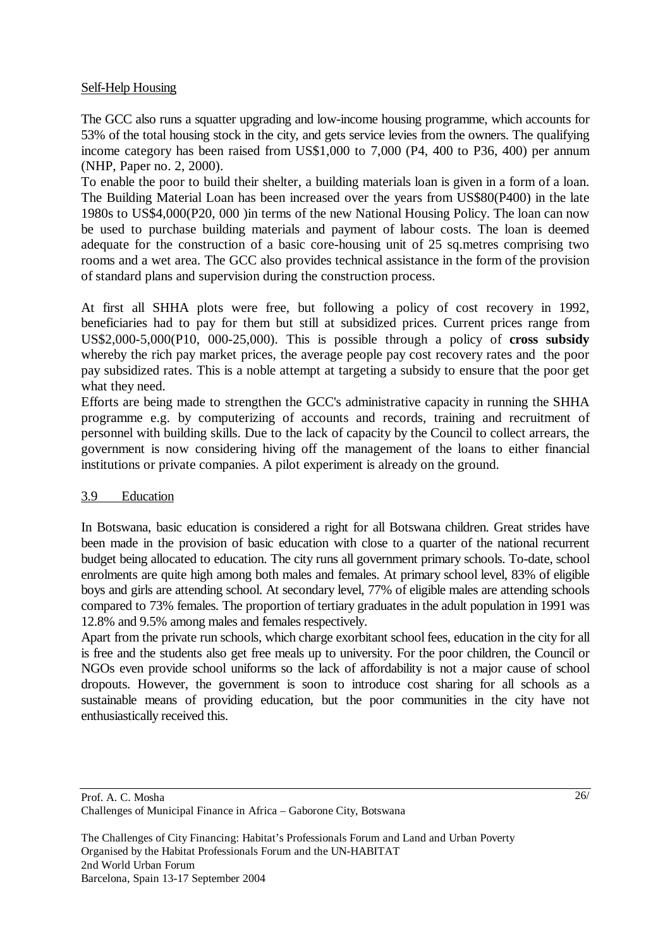## Self-Help Housing

The GCC also runs a squatter upgrading and low-income housing programme, which accounts for 53% of the total housing stock in the city, and gets service levies from the owners. The qualifying income category has been raised from US\$1,000 to 7,000 (P4, 400 to P36, 400) per annum (NHP, Paper no. 2, 2000).

To enable the poor to build their shelter, a building materials loan is given in a form of a loan. The Building Material Loan has been increased over the years from US\$80(P400) in the late 1980s to US\$4,000(P20, 000 )in terms of the new National Housing Policy. The loan can now be used to purchase building materials and payment of labour costs. The loan is deemed adequate for the construction of a basic core-housing unit of 25 sq.metres comprising two rooms and a wet area. The GCC also provides technical assistance in the form of the provision of standard plans and supervision during the construction process.

At first all SHHA plots were free, but following a policy of cost recovery in 1992, beneficiaries had to pay for them but still at subsidized prices. Current prices range from US\$2,000-5,000(P10, 000-25,000). This is possible through a policy of **cross subsidy** whereby the rich pay market prices, the average people pay cost recovery rates and the poor pay subsidized rates. This is a noble attempt at targeting a subsidy to ensure that the poor get what they need.

Efforts are being made to strengthen the GCC's administrative capacity in running the SHHA programme e.g. by computerizing of accounts and records, training and recruitment of personnel with building skills. Due to the lack of capacity by the Council to collect arrears, the government is now considering hiving off the management of the loans to either financial institutions or private companies. A pilot experiment is already on the ground.

#### 3.9 Education

In Botswana, basic education is considered a right for all Botswana children. Great strides have been made in the provision of basic education with close to a quarter of the national recurrent budget being allocated to education. The city runs all government primary schools. To-date, school enrolments are quite high among both males and females. At primary school level, 83% of eligible boys and girls are attending school. At secondary level, 77% of eligible males are attending schools compared to 73% females. The proportion of tertiary graduates in the adult population in 1991 was 12.8% and 9.5% among males and females respectively.

Apart from the private run schools, which charge exorbitant school fees, education in the city for all is free and the students also get free meals up to university. For the poor children, the Council or NGOs even provide school uniforms so the lack of affordability is not a major cause of school dropouts. However, the government is soon to introduce cost sharing for all schools as a sustainable means of providing education, but the poor communities in the city have not enthusiastically received this.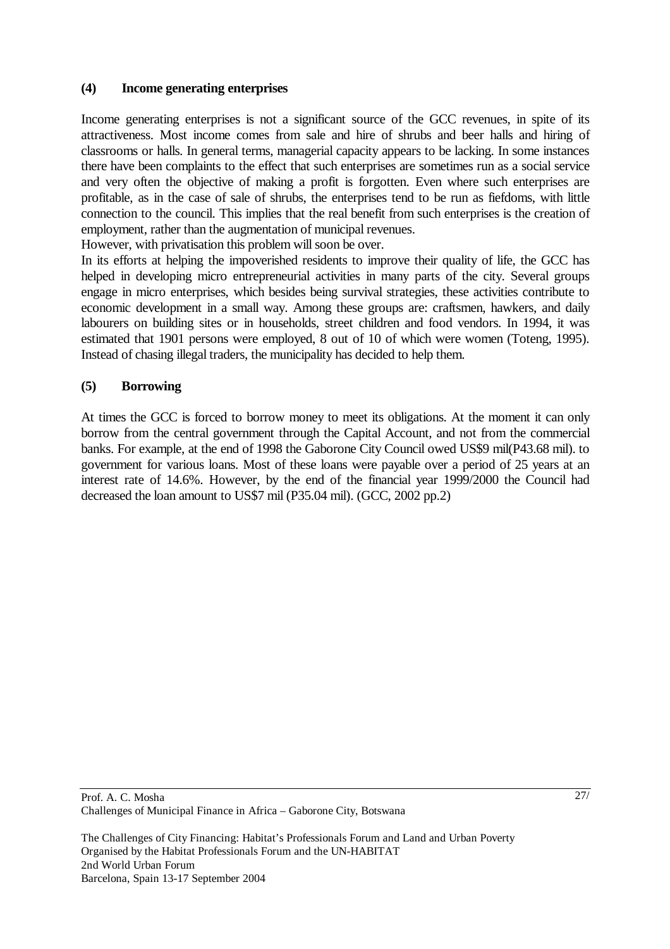#### **(4) Income generating enterprises**

Income generating enterprises is not a significant source of the GCC revenues, in spite of its attractiveness. Most income comes from sale and hire of shrubs and beer halls and hiring of classrooms or halls. In general terms, managerial capacity appears to be lacking. In some instances there have been complaints to the effect that such enterprises are sometimes run as a social service and very often the objective of making a profit is forgotten. Even where such enterprises are profitable, as in the case of sale of shrubs, the enterprises tend to be run as fiefdoms, with little connection to the council. This implies that the real benefit from such enterprises is the creation of employment, rather than the augmentation of municipal revenues.

However, with privatisation this problem will soon be over.

In its efforts at helping the impoverished residents to improve their quality of life, the GCC has helped in developing micro entrepreneurial activities in many parts of the city. Several groups engage in micro enterprises, which besides being survival strategies, these activities contribute to economic development in a small way. Among these groups are: craftsmen, hawkers, and daily labourers on building sites or in households, street children and food vendors. In 1994, it was estimated that 1901 persons were employed, 8 out of 10 of which were women (Toteng, 1995). Instead of chasing illegal traders, the municipality has decided to help them.

## **(5) Borrowing**

At times the GCC is forced to borrow money to meet its obligations. At the moment it can only borrow from the central government through the Capital Account, and not from the commercial banks. For example, at the end of 1998 the Gaborone City Council owed US\$9 mil(P43.68 mil). to government for various loans. Most of these loans were payable over a period of 25 years at an interest rate of 14.6%. However, by the end of the financial year 1999/2000 the Council had decreased the loan amount to US\$7 mil (P35.04 mil). (GCC, 2002 pp.2)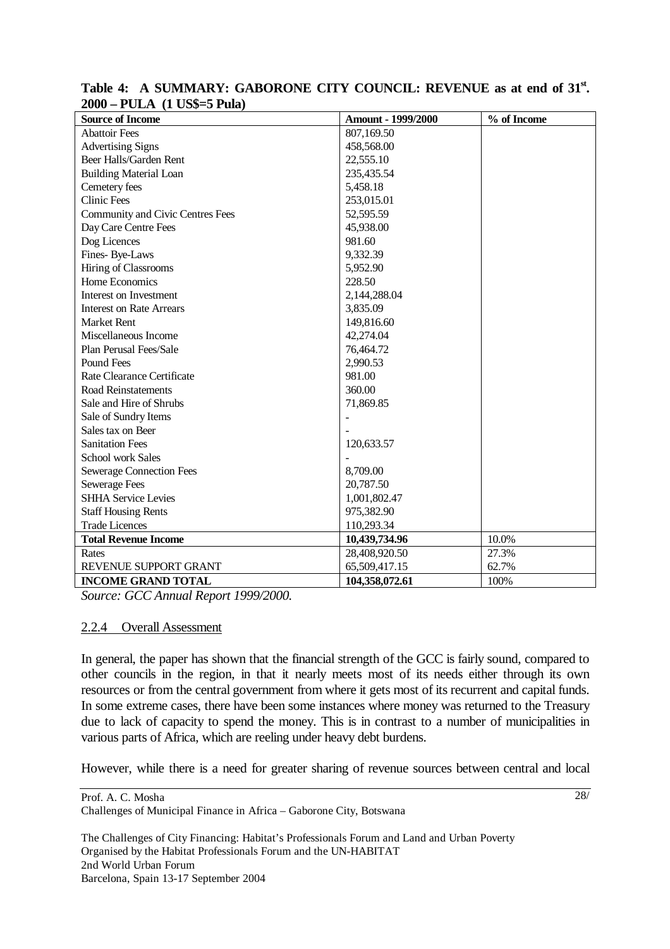| $\angle UUV = I ULA$ (1 $UDP = J I UIA$ ) |                    |             |  |  |  |
|-------------------------------------------|--------------------|-------------|--|--|--|
| <b>Source of Income</b>                   | Amount - 1999/2000 | % of Income |  |  |  |
| <b>Abattoir Fees</b>                      | 807,169.50         |             |  |  |  |
| <b>Advertising Signs</b>                  | 458,568.00         |             |  |  |  |
| Beer Halls/Garden Rent                    | 22,555.10          |             |  |  |  |
| <b>Building Material Loan</b>             | 235,435.54         |             |  |  |  |
| Cemetery fees                             | 5,458.18           |             |  |  |  |
| <b>Clinic Fees</b>                        | 253,015.01         |             |  |  |  |
| <b>Community and Civic Centres Fees</b>   | 52,595.59          |             |  |  |  |
| Day Care Centre Fees                      | 45,938.00          |             |  |  |  |
| Dog Licences                              | 981.60             |             |  |  |  |
| Fines-Bye-Laws                            | 9,332.39           |             |  |  |  |
| Hiring of Classrooms                      | 5,952.90           |             |  |  |  |
| Home Economics                            | 228.50             |             |  |  |  |
| Interest on Investment                    | 2,144,288.04       |             |  |  |  |
| <b>Interest on Rate Arrears</b>           | 3,835.09           |             |  |  |  |
| <b>Market Rent</b>                        | 149,816.60         |             |  |  |  |
| Miscellaneous Income                      | 42,274.04          |             |  |  |  |
| Plan Perusal Fees/Sale                    | 76,464.72          |             |  |  |  |
| Pound Fees                                | 2,990.53           |             |  |  |  |
| Rate Clearance Certificate                | 981.00             |             |  |  |  |
| <b>Road Reinstatements</b>                | 360.00             |             |  |  |  |
| Sale and Hire of Shrubs                   | 71,869.85          |             |  |  |  |
| Sale of Sundry Items                      | $\overline{a}$     |             |  |  |  |
| Sales tax on Beer                         |                    |             |  |  |  |
| <b>Sanitation Fees</b>                    | 120,633.57         |             |  |  |  |
| <b>School work Sales</b>                  |                    |             |  |  |  |
| <b>Sewerage Connection Fees</b>           | 8,709.00           |             |  |  |  |
| <b>Sewerage Fees</b>                      | 20,787.50          |             |  |  |  |
| <b>SHHA Service Levies</b>                | 1,001,802.47       |             |  |  |  |
| <b>Staff Housing Rents</b>                | 975,382.90         |             |  |  |  |
| <b>Trade Licences</b>                     | 110,293.34         |             |  |  |  |
| <b>Total Revenue Income</b>               | 10,439,734.96      | 10.0%       |  |  |  |
| Rates                                     | 28,408,920.50      | 27.3%       |  |  |  |
| REVENUE SUPPORT GRANT                     | 65,509,417.15      | 62.7%       |  |  |  |
| <b>INCOME GRAND TOTAL</b>                 | 104,358,072.61     | 100%        |  |  |  |

#### Table 4: A SUMMARY: GABORONE CITY COUNCIL: REVENUE as at end of 31<sup>st</sup>. **2000 – PULA (1 US\$=5 Pula)**

*Source: GCC Annual Report 1999/2000.* 

#### 2.2.4 Overall Assessment

In general, the paper has shown that the financial strength of the GCC is fairly sound, compared to other councils in the region, in that it nearly meets most of its needs either through its own resources or from the central government from where it gets most of its recurrent and capital funds. In some extreme cases, there have been some instances where money was returned to the Treasury due to lack of capacity to spend the money. This is in contrast to a number of municipalities in various parts of Africa, which are reeling under heavy debt burdens.

However, while there is a need for greater sharing of revenue sources between central and local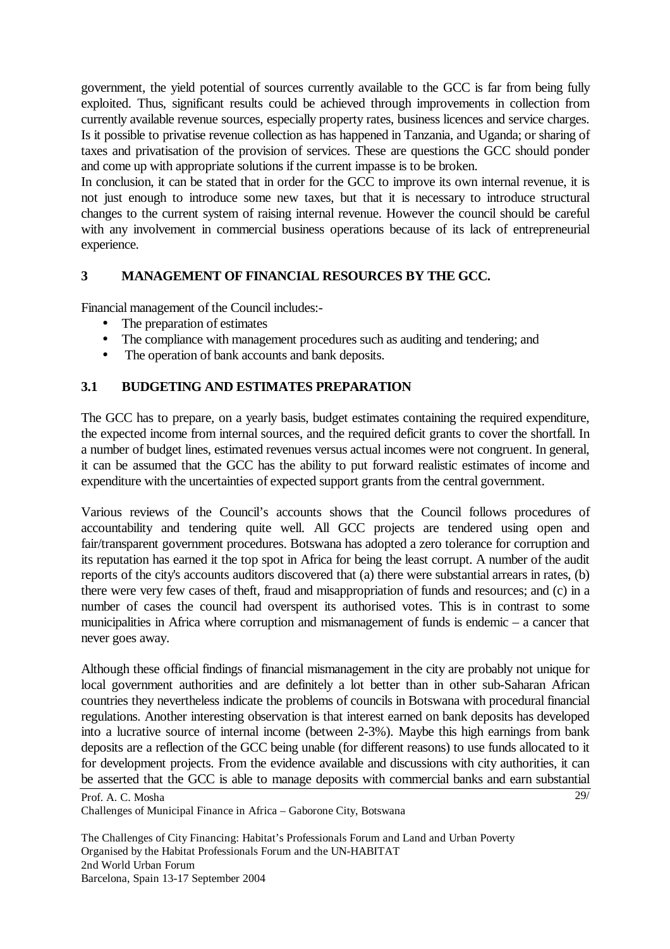government, the yield potential of sources currently available to the GCC is far from being fully exploited. Thus, significant results could be achieved through improvements in collection from currently available revenue sources, especially property rates, business licences and service charges. Is it possible to privatise revenue collection as has happened in Tanzania, and Uganda; or sharing of taxes and privatisation of the provision of services. These are questions the GCC should ponder and come up with appropriate solutions if the current impasse is to be broken.

In conclusion, it can be stated that in order for the GCC to improve its own internal revenue, it is not just enough to introduce some new taxes, but that it is necessary to introduce structural changes to the current system of raising internal revenue. However the council should be careful with any involvement in commercial business operations because of its lack of entrepreneurial experience.

## **3 MANAGEMENT OF FINANCIAL RESOURCES BY THE GCC.**

Financial management of the Council includes:-

- The preparation of estimates
- The compliance with management procedures such as auditing and tendering; and
- The operation of bank accounts and bank deposits.

## **3.1 BUDGETING AND ESTIMATES PREPARATION**

The GCC has to prepare, on a yearly basis, budget estimates containing the required expenditure, the expected income from internal sources, and the required deficit grants to cover the shortfall. In a number of budget lines, estimated revenues versus actual incomes were not congruent. In general, it can be assumed that the GCC has the ability to put forward realistic estimates of income and expenditure with the uncertainties of expected support grants from the central government.

Various reviews of the Council's accounts shows that the Council follows procedures of accountability and tendering quite well. All GCC projects are tendered using open and fair/transparent government procedures. Botswana has adopted a zero tolerance for corruption and its reputation has earned it the top spot in Africa for being the least corrupt. A number of the audit reports of the city's accounts auditors discovered that (a) there were substantial arrears in rates, (b) there were very few cases of theft, fraud and misappropriation of funds and resources; and (c) in a number of cases the council had overspent its authorised votes. This is in contrast to some municipalities in Africa where corruption and mismanagement of funds is endemic – a cancer that never goes away.

Although these official findings of financial mismanagement in the city are probably not unique for local government authorities and are definitely a lot better than in other sub-Saharan African countries they nevertheless indicate the problems of councils in Botswana with procedural financial regulations. Another interesting observation is that interest earned on bank deposits has developed into a lucrative source of internal income (between 2-3%). Maybe this high earnings from bank deposits are a reflection of the GCC being unable (for different reasons) to use funds allocated to it for development projects. From the evidence available and discussions with city authorities, it can be asserted that the GCC is able to manage deposits with commercial banks and earn substantial

29/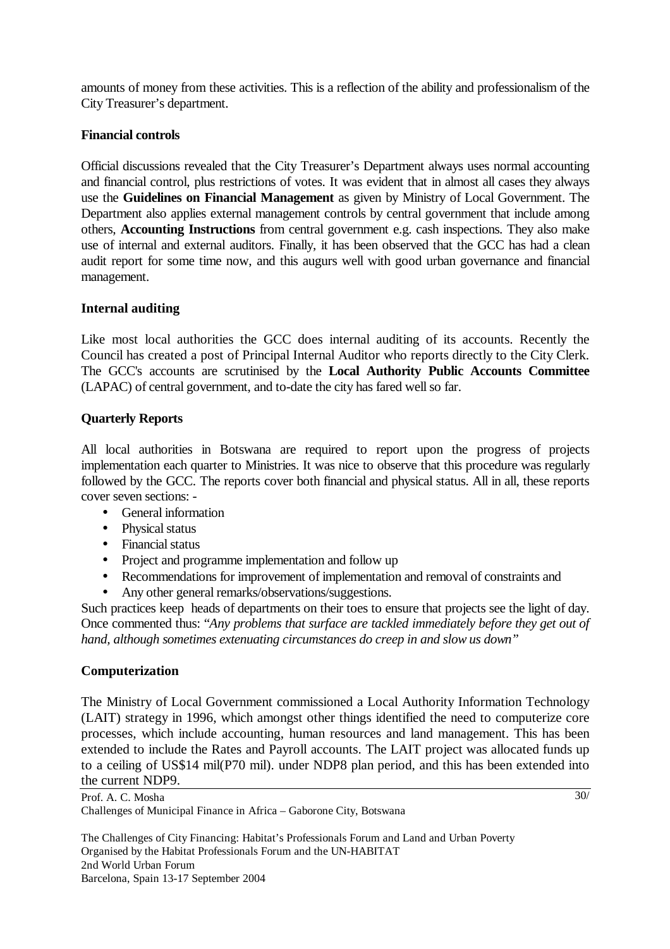amounts of money from these activities. This is a reflection of the ability and professionalism of the City Treasurer's department.

## **Financial controls**

Official discussions revealed that the City Treasurer's Department always uses normal accounting and financial control, plus restrictions of votes. It was evident that in almost all cases they always use the **Guidelines on Financial Management** as given by Ministry of Local Government. The Department also applies external management controls by central government that include among others, **Accounting Instructions** from central government e.g. cash inspections. They also make use of internal and external auditors. Finally, it has been observed that the GCC has had a clean audit report for some time now, and this augurs well with good urban governance and financial management.

## **Internal auditing**

Like most local authorities the GCC does internal auditing of its accounts. Recently the Council has created a post of Principal Internal Auditor who reports directly to the City Clerk. The GCC's accounts are scrutinised by the **Local Authority Public Accounts Committee** (LAPAC) of central government, and to-date the city has fared well so far.

## **Quarterly Reports**

All local authorities in Botswana are required to report upon the progress of projects implementation each quarter to Ministries. It was nice to observe that this procedure was regularly followed by the GCC. The reports cover both financial and physical status. All in all, these reports cover seven sections: -

- General information
- Physical status
- Financial status
- Project and programme implementation and follow up
- Recommendations for improvement of implementation and removal of constraints and
- Any other general remarks/observations/suggestions.

Such practices keep heads of departments on their toes to ensure that projects see the light of day. Once commented thus: "*Any problems that surface are tackled immediately before they get out of hand, although sometimes extenuating circumstances do creep in and slow us down"* 

#### **Computerization**

The Ministry of Local Government commissioned a Local Authority Information Technology (LAIT) strategy in 1996, which amongst other things identified the need to computerize core processes, which include accounting, human resources and land management. This has been extended to include the Rates and Payroll accounts. The LAIT project was allocated funds up to a ceiling of US\$14 mil(P70 mil). under NDP8 plan period, and this has been extended into the current NDP9.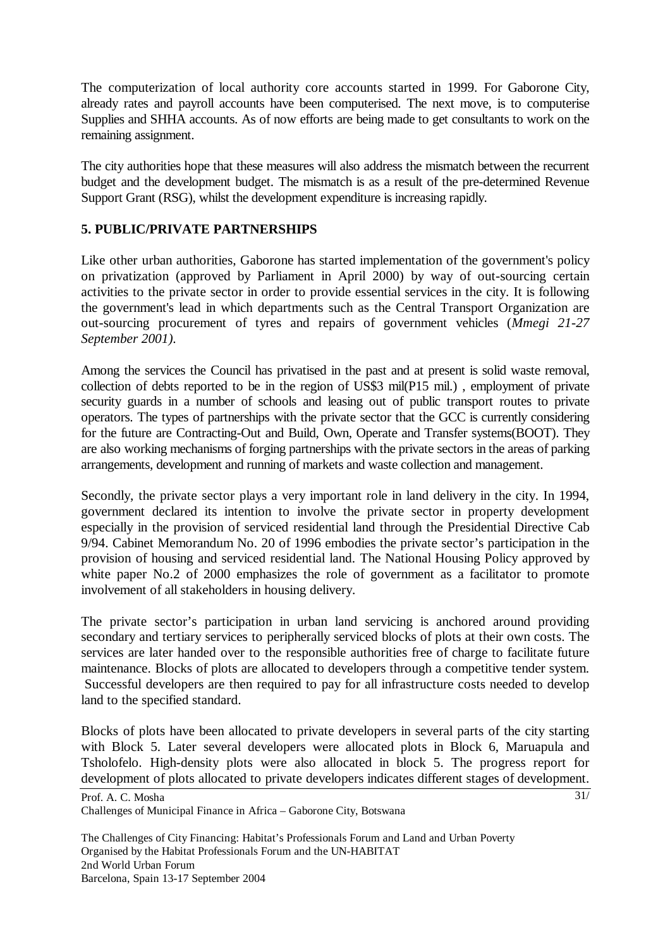The computerization of local authority core accounts started in 1999. For Gaborone City, already rates and payroll accounts have been computerised. The next move, is to computerise Supplies and SHHA accounts. As of now efforts are being made to get consultants to work on the remaining assignment.

The city authorities hope that these measures will also address the mismatch between the recurrent budget and the development budget. The mismatch is as a result of the pre-determined Revenue Support Grant (RSG), whilst the development expenditure is increasing rapidly.

## **5. PUBLIC/PRIVATE PARTNERSHIPS**

Like other urban authorities, Gaborone has started implementation of the government's policy on privatization (approved by Parliament in April 2000) by way of out-sourcing certain activities to the private sector in order to provide essential services in the city. It is following the government's lead in which departments such as the Central Transport Organization are out-sourcing procurement of tyres and repairs of government vehicles (*Mmegi 21-27 September 2001).* 

Among the services the Council has privatised in the past and at present is solid waste removal, collection of debts reported to be in the region of US\$3 mil(P15 mil.) , employment of private security guards in a number of schools and leasing out of public transport routes to private operators. The types of partnerships with the private sector that the GCC is currently considering for the future are Contracting-Out and Build, Own, Operate and Transfer systems(BOOT). They are also working mechanisms of forging partnerships with the private sectors in the areas of parking arrangements, development and running of markets and waste collection and management.

Secondly, the private sector plays a very important role in land delivery in the city. In 1994, government declared its intention to involve the private sector in property development especially in the provision of serviced residential land through the Presidential Directive Cab 9/94. Cabinet Memorandum No. 20 of 1996 embodies the private sector's participation in the provision of housing and serviced residential land. The National Housing Policy approved by white paper No.2 of 2000 emphasizes the role of government as a facilitator to promote involvement of all stakeholders in housing delivery.

The private sector's participation in urban land servicing is anchored around providing secondary and tertiary services to peripherally serviced blocks of plots at their own costs. The services are later handed over to the responsible authorities free of charge to facilitate future maintenance. Blocks of plots are allocated to developers through a competitive tender system. Successful developers are then required to pay for all infrastructure costs needed to develop land to the specified standard.

Blocks of plots have been allocated to private developers in several parts of the city starting with Block 5. Later several developers were allocated plots in Block 6, Maruapula and Tsholofelo. High-density plots were also allocated in block 5. The progress report for development of plots allocated to private developers indicates different stages of development.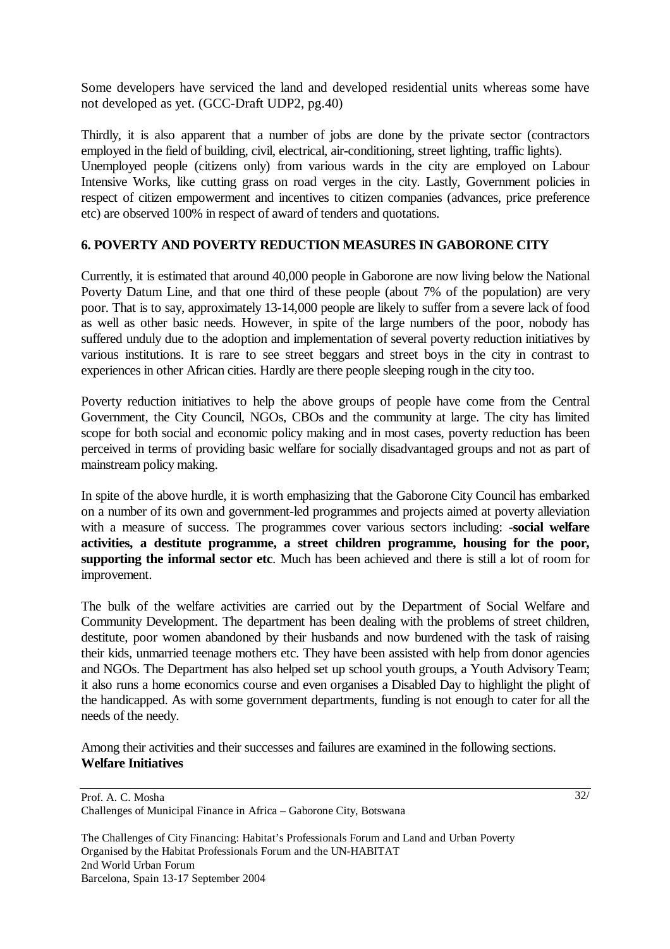Some developers have serviced the land and developed residential units whereas some have not developed as yet. (GCC-Draft UDP2, pg.40)

Thirdly, it is also apparent that a number of jobs are done by the private sector (contractors employed in the field of building, civil, electrical, air-conditioning, street lighting, traffic lights). Unemployed people (citizens only) from various wards in the city are employed on Labour Intensive Works, like cutting grass on road verges in the city. Lastly, Government policies in respect of citizen empowerment and incentives to citizen companies (advances, price preference etc) are observed 100% in respect of award of tenders and quotations.

## **6. POVERTY AND POVERTY REDUCTION MEASURES IN GABORONE CITY**

Currently, it is estimated that around 40,000 people in Gaborone are now living below the National Poverty Datum Line, and that one third of these people (about 7% of the population) are very poor. That is to say, approximately 13-14,000 people are likely to suffer from a severe lack of food as well as other basic needs. However, in spite of the large numbers of the poor, nobody has suffered unduly due to the adoption and implementation of several poverty reduction initiatives by various institutions. It is rare to see street beggars and street boys in the city in contrast to experiences in other African cities. Hardly are there people sleeping rough in the city too.

Poverty reduction initiatives to help the above groups of people have come from the Central Government, the City Council, NGOs, CBOs and the community at large. The city has limited scope for both social and economic policy making and in most cases, poverty reduction has been perceived in terms of providing basic welfare for socially disadvantaged groups and not as part of mainstream policy making.

In spite of the above hurdle, it is worth emphasizing that the Gaborone City Council has embarked on a number of its own and government-led programmes and projects aimed at poverty alleviation with a measure of success. The programmes cover various sectors including: -**social welfare activities, a destitute programme, a street children programme, housing for the poor, supporting the informal sector etc**. Much has been achieved and there is still a lot of room for improvement.

The bulk of the welfare activities are carried out by the Department of Social Welfare and Community Development. The department has been dealing with the problems of street children, destitute, poor women abandoned by their husbands and now burdened with the task of raising their kids, unmarried teenage mothers etc. They have been assisted with help from donor agencies and NGOs. The Department has also helped set up school youth groups, a Youth Advisory Team; it also runs a home economics course and even organises a Disabled Day to highlight the plight of the handicapped. As with some government departments, funding is not enough to cater for all the needs of the needy.

Among their activities and their successes and failures are examined in the following sections. **Welfare Initiatives**

Prof. A. C. Mosha Challenges of Municipal Finance in Africa – Gaborone City, Botswana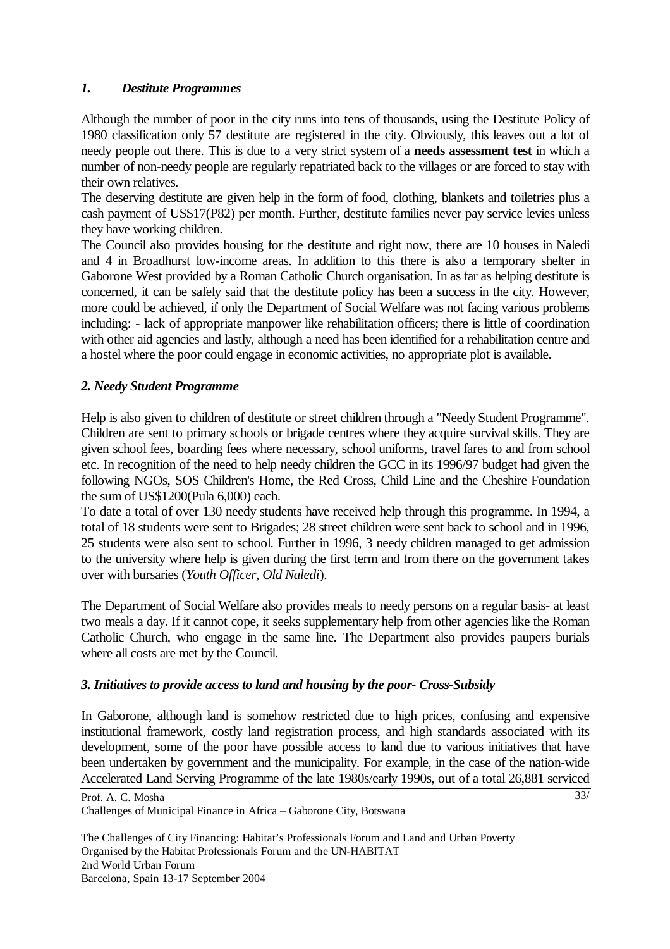## *1. Destitute Programmes*

Although the number of poor in the city runs into tens of thousands, using the Destitute Policy of 1980 classification only 57 destitute are registered in the city. Obviously, this leaves out a lot of needy people out there. This is due to a very strict system of a **needs assessment test** in which a number of non-needy people are regularly repatriated back to the villages or are forced to stay with their own relatives.

The deserving destitute are given help in the form of food, clothing, blankets and toiletries plus a cash payment of US\$17(P82) per month. Further, destitute families never pay service levies unless they have working children.

The Council also provides housing for the destitute and right now, there are 10 houses in Naledi and 4 in Broadhurst low-income areas. In addition to this there is also a temporary shelter in Gaborone West provided by a Roman Catholic Church organisation. In as far as helping destitute is concerned, it can be safely said that the destitute policy has been a success in the city. However, more could be achieved, if only the Department of Social Welfare was not facing various problems including: - lack of appropriate manpower like rehabilitation officers; there is little of coordination with other aid agencies and lastly, although a need has been identified for a rehabilitation centre and a hostel where the poor could engage in economic activities, no appropriate plot is available.

## *2. Needy Student Programme*

Help is also given to children of destitute or street children through a "Needy Student Programme". Children are sent to primary schools or brigade centres where they acquire survival skills. They are given school fees, boarding fees where necessary, school uniforms, travel fares to and from school etc. In recognition of the need to help needy children the GCC in its 1996/97 budget had given the following NGOs, SOS Children's Home, the Red Cross, Child Line and the Cheshire Foundation the sum of US\$1200(Pula 6,000) each.

To date a total of over 130 needy students have received help through this programme. In 1994, a total of 18 students were sent to Brigades; 28 street children were sent back to school and in 1996, 25 students were also sent to school. Further in 1996, 3 needy children managed to get admission to the university where help is given during the first term and from there on the government takes over with bursaries (*Youth Officer, Old Naledi*).

The Department of Social Welfare also provides meals to needy persons on a regular basis- at least two meals a day. If it cannot cope, it seeks supplementary help from other agencies like the Roman Catholic Church, who engage in the same line. The Department also provides paupers burials where all costs are met by the Council.

#### *3. Initiatives to provide access to land and housing by the poor- Cross-Subsidy*

In Gaborone, although land is somehow restricted due to high prices, confusing and expensive institutional framework, costly land registration process, and high standards associated with its development, some of the poor have possible access to land due to various initiatives that have been undertaken by government and the municipality. For example, in the case of the nation-wide Accelerated Land Serving Programme of the late 1980s/early 1990s, out of a total 26,881 serviced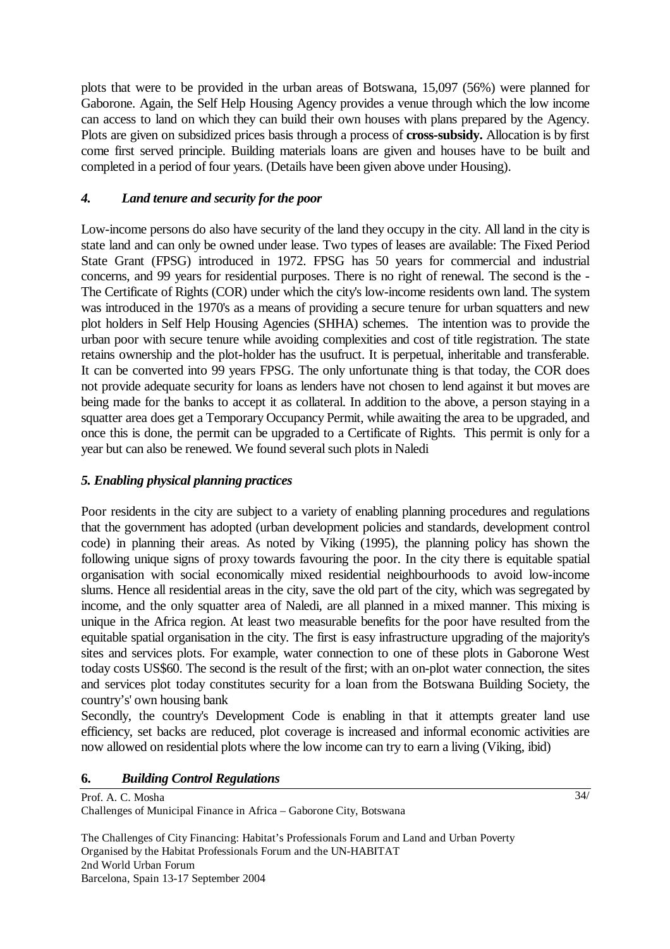plots that were to be provided in the urban areas of Botswana, 15,097 (56%) were planned for Gaborone. Again, the Self Help Housing Agency provides a venue through which the low income can access to land on which they can build their own houses with plans prepared by the Agency. Plots are given on subsidized prices basis through a process of **cross-subsidy.** Allocation is by first come first served principle. Building materials loans are given and houses have to be built and completed in a period of four years. (Details have been given above under Housing).

## *4. Land tenure and security for the poor*

Low-income persons do also have security of the land they occupy in the city. All land in the city is state land and can only be owned under lease. Two types of leases are available: The Fixed Period State Grant (FPSG) introduced in 1972. FPSG has 50 years for commercial and industrial concerns, and 99 years for residential purposes. There is no right of renewal. The second is the - The Certificate of Rights (COR) under which the city's low-income residents own land. The system was introduced in the 1970's as a means of providing a secure tenure for urban squatters and new plot holders in Self Help Housing Agencies (SHHA) schemes. The intention was to provide the urban poor with secure tenure while avoiding complexities and cost of title registration. The state retains ownership and the plot-holder has the usufruct. It is perpetual, inheritable and transferable. It can be converted into 99 years FPSG. The only unfortunate thing is that today, the COR does not provide adequate security for loans as lenders have not chosen to lend against it but moves are being made for the banks to accept it as collateral. In addition to the above, a person staying in a squatter area does get a Temporary Occupancy Permit, while awaiting the area to be upgraded, and once this is done, the permit can be upgraded to a Certificate of Rights. This permit is only for a year but can also be renewed. We found several such plots in Naledi

## *5. Enabling physical planning practices*

Poor residents in the city are subject to a variety of enabling planning procedures and regulations that the government has adopted (urban development policies and standards, development control code) in planning their areas. As noted by Viking (1995), the planning policy has shown the following unique signs of proxy towards favouring the poor. In the city there is equitable spatial organisation with social economically mixed residential neighbourhoods to avoid low-income slums. Hence all residential areas in the city, save the old part of the city, which was segregated by income, and the only squatter area of Naledi, are all planned in a mixed manner. This mixing is unique in the Africa region. At least two measurable benefits for the poor have resulted from the equitable spatial organisation in the city. The first is easy infrastructure upgrading of the majority's sites and services plots. For example, water connection to one of these plots in Gaborone West today costs US\$60. The second is the result of the first; with an on-plot water connection, the sites and services plot today constitutes security for a loan from the Botswana Building Society, the country's' own housing bank

Secondly, the country's Development Code is enabling in that it attempts greater land use efficiency, set backs are reduced, plot coverage is increased and informal economic activities are now allowed on residential plots where the low income can try to earn a living (Viking, ibid)

#### **6.** *Building Control Regulations*

Prof. A. C. Mosha Challenges of Municipal Finance in Africa – Gaborone City, Botswana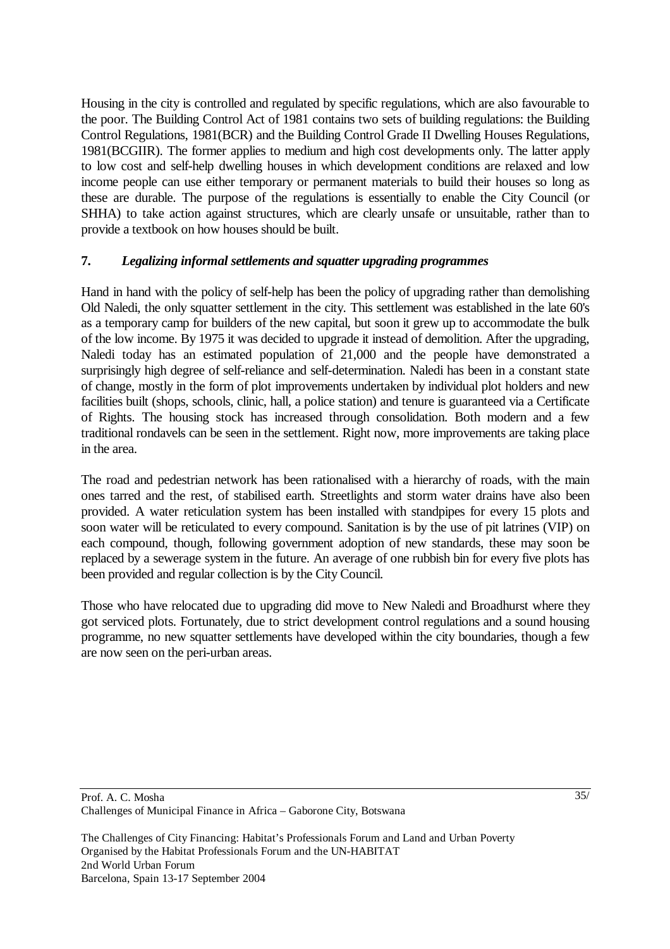Housing in the city is controlled and regulated by specific regulations, which are also favourable to the poor. The Building Control Act of 1981 contains two sets of building regulations: the Building Control Regulations, 1981(BCR) and the Building Control Grade II Dwelling Houses Regulations, 1981(BCGIIR). The former applies to medium and high cost developments only. The latter apply to low cost and self-help dwelling houses in which development conditions are relaxed and low income people can use either temporary or permanent materials to build their houses so long as these are durable. The purpose of the regulations is essentially to enable the City Council (or SHHA) to take action against structures, which are clearly unsafe or unsuitable, rather than to provide a textbook on how houses should be built.

## **7.** *Legalizing informal settlements and squatter upgrading programmes*

Hand in hand with the policy of self-help has been the policy of upgrading rather than demolishing Old Naledi, the only squatter settlement in the city. This settlement was established in the late 60's as a temporary camp for builders of the new capital, but soon it grew up to accommodate the bulk of the low income. By 1975 it was decided to upgrade it instead of demolition. After the upgrading, Naledi today has an estimated population of 21,000 and the people have demonstrated a surprisingly high degree of self-reliance and self-determination. Naledi has been in a constant state of change, mostly in the form of plot improvements undertaken by individual plot holders and new facilities built (shops, schools, clinic, hall, a police station) and tenure is guaranteed via a Certificate of Rights. The housing stock has increased through consolidation. Both modern and a few traditional rondavels can be seen in the settlement. Right now, more improvements are taking place in the area.

The road and pedestrian network has been rationalised with a hierarchy of roads, with the main ones tarred and the rest, of stabilised earth. Streetlights and storm water drains have also been provided. A water reticulation system has been installed with standpipes for every 15 plots and soon water will be reticulated to every compound. Sanitation is by the use of pit latrines (VIP) on each compound, though, following government adoption of new standards, these may soon be replaced by a sewerage system in the future. An average of one rubbish bin for every five plots has been provided and regular collection is by the City Council.

Those who have relocated due to upgrading did move to New Naledi and Broadhurst where they got serviced plots. Fortunately, due to strict development control regulations and a sound housing programme, no new squatter settlements have developed within the city boundaries, though a few are now seen on the peri-urban areas.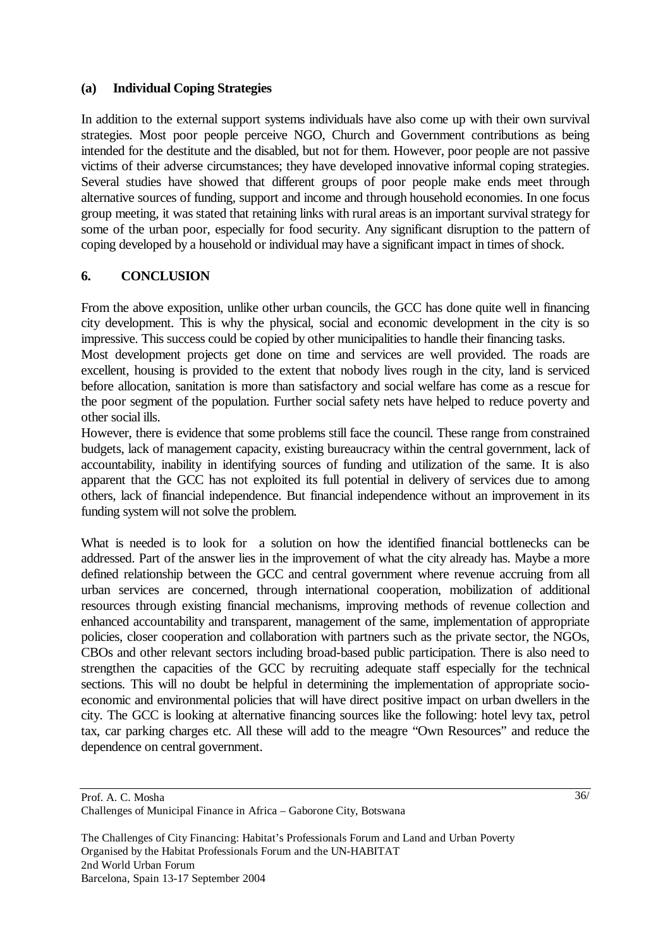#### **(a) Individual Coping Strategies**

In addition to the external support systems individuals have also come up with their own survival strategies. Most poor people perceive NGO, Church and Government contributions as being intended for the destitute and the disabled, but not for them. However, poor people are not passive victims of their adverse circumstances; they have developed innovative informal coping strategies. Several studies have showed that different groups of poor people make ends meet through alternative sources of funding, support and income and through household economies. In one focus group meeting, it was stated that retaining links with rural areas is an important survival strategy for some of the urban poor, especially for food security. Any significant disruption to the pattern of coping developed by a household or individual may have a significant impact in times of shock.

## **6. CONCLUSION**

From the above exposition, unlike other urban councils, the GCC has done quite well in financing city development. This is why the physical, social and economic development in the city is so impressive. This success could be copied by other municipalities to handle their financing tasks.

Most development projects get done on time and services are well provided. The roads are excellent, housing is provided to the extent that nobody lives rough in the city, land is serviced before allocation, sanitation is more than satisfactory and social welfare has come as a rescue for the poor segment of the population. Further social safety nets have helped to reduce poverty and other social ills.

However, there is evidence that some problems still face the council. These range from constrained budgets, lack of management capacity, existing bureaucracy within the central government, lack of accountability, inability in identifying sources of funding and utilization of the same. It is also apparent that the GCC has not exploited its full potential in delivery of services due to among others, lack of financial independence. But financial independence without an improvement in its funding system will not solve the problem.

What is needed is to look for a solution on how the identified financial bottlenecks can be addressed. Part of the answer lies in the improvement of what the city already has. Maybe a more defined relationship between the GCC and central government where revenue accruing from all urban services are concerned, through international cooperation, mobilization of additional resources through existing financial mechanisms, improving methods of revenue collection and enhanced accountability and transparent, management of the same, implementation of appropriate policies, closer cooperation and collaboration with partners such as the private sector, the NGOs, CBOs and other relevant sectors including broad-based public participation. There is also need to strengthen the capacities of the GCC by recruiting adequate staff especially for the technical sections. This will no doubt be helpful in determining the implementation of appropriate socioeconomic and environmental policies that will have direct positive impact on urban dwellers in the city. The GCC is looking at alternative financing sources like the following: hotel levy tax, petrol tax, car parking charges etc. All these will add to the meagre "Own Resources" and reduce the dependence on central government.

Prof. A. C. Mosha Challenges of Municipal Finance in Africa – Gaborone City, Botswana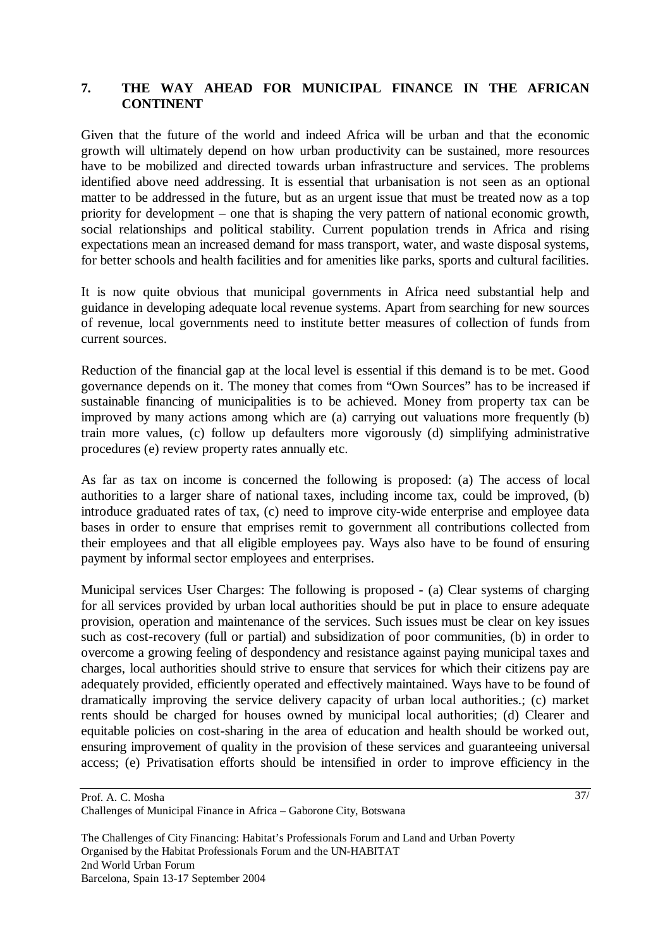### **7. THE WAY AHEAD FOR MUNICIPAL FINANCE IN THE AFRICAN CONTINENT**

Given that the future of the world and indeed Africa will be urban and that the economic growth will ultimately depend on how urban productivity can be sustained, more resources have to be mobilized and directed towards urban infrastructure and services. The problems identified above need addressing. It is essential that urbanisation is not seen as an optional matter to be addressed in the future, but as an urgent issue that must be treated now as a top priority for development – one that is shaping the very pattern of national economic growth, social relationships and political stability. Current population trends in Africa and rising expectations mean an increased demand for mass transport, water, and waste disposal systems, for better schools and health facilities and for amenities like parks, sports and cultural facilities.

It is now quite obvious that municipal governments in Africa need substantial help and guidance in developing adequate local revenue systems. Apart from searching for new sources of revenue, local governments need to institute better measures of collection of funds from current sources.

Reduction of the financial gap at the local level is essential if this demand is to be met. Good governance depends on it. The money that comes from "Own Sources" has to be increased if sustainable financing of municipalities is to be achieved. Money from property tax can be improved by many actions among which are (a) carrying out valuations more frequently (b) train more values, (c) follow up defaulters more vigorously (d) simplifying administrative procedures (e) review property rates annually etc.

As far as tax on income is concerned the following is proposed: (a) The access of local authorities to a larger share of national taxes, including income tax, could be improved, (b) introduce graduated rates of tax, (c) need to improve city-wide enterprise and employee data bases in order to ensure that emprises remit to government all contributions collected from their employees and that all eligible employees pay. Ways also have to be found of ensuring payment by informal sector employees and enterprises.

Municipal services User Charges: The following is proposed - (a) Clear systems of charging for all services provided by urban local authorities should be put in place to ensure adequate provision, operation and maintenance of the services. Such issues must be clear on key issues such as cost-recovery (full or partial) and subsidization of poor communities, (b) in order to overcome a growing feeling of despondency and resistance against paying municipal taxes and charges, local authorities should strive to ensure that services for which their citizens pay are adequately provided, efficiently operated and effectively maintained. Ways have to be found of dramatically improving the service delivery capacity of urban local authorities.; (c) market rents should be charged for houses owned by municipal local authorities; (d) Clearer and equitable policies on cost-sharing in the area of education and health should be worked out, ensuring improvement of quality in the provision of these services and guaranteeing universal access; (e) Privatisation efforts should be intensified in order to improve efficiency in the

Prof. A. C. Mosha Challenges of Municipal Finance in Africa – Gaborone City, Botswana

The Challenges of City Financing: Habitat's Professionals Forum and Land and Urban Poverty Organised by the Habitat Professionals Forum and the UN-HABITAT 2nd World Urban Forum Barcelona, Spain 13-17 September 2004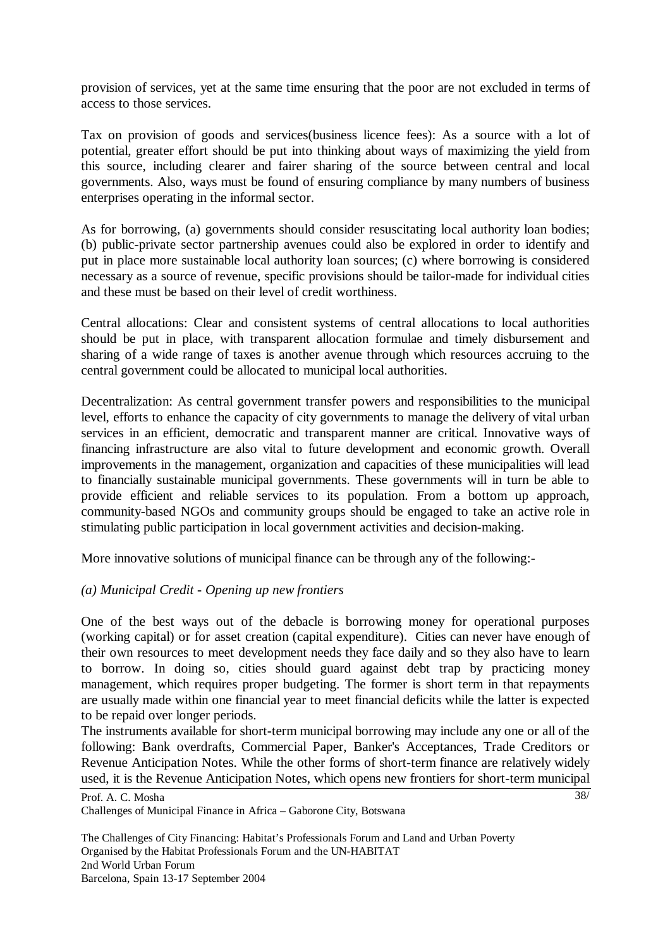provision of services, yet at the same time ensuring that the poor are not excluded in terms of access to those services.

Tax on provision of goods and services(business licence fees): As a source with a lot of potential, greater effort should be put into thinking about ways of maximizing the yield from this source, including clearer and fairer sharing of the source between central and local governments. Also, ways must be found of ensuring compliance by many numbers of business enterprises operating in the informal sector.

As for borrowing, (a) governments should consider resuscitating local authority loan bodies; (b) public-private sector partnership avenues could also be explored in order to identify and put in place more sustainable local authority loan sources; (c) where borrowing is considered necessary as a source of revenue, specific provisions should be tailor-made for individual cities and these must be based on their level of credit worthiness.

Central allocations: Clear and consistent systems of central allocations to local authorities should be put in place, with transparent allocation formulae and timely disbursement and sharing of a wide range of taxes is another avenue through which resources accruing to the central government could be allocated to municipal local authorities.

Decentralization: As central government transfer powers and responsibilities to the municipal level, efforts to enhance the capacity of city governments to manage the delivery of vital urban services in an efficient, democratic and transparent manner are critical. Innovative ways of financing infrastructure are also vital to future development and economic growth. Overall improvements in the management, organization and capacities of these municipalities will lead to financially sustainable municipal governments. These governments will in turn be able to provide efficient and reliable services to its population. From a bottom up approach, community-based NGOs and community groups should be engaged to take an active role in stimulating public participation in local government activities and decision-making.

More innovative solutions of municipal finance can be through any of the following:-

## *(a) Municipal Credit - Opening up new frontiers*

One of the best ways out of the debacle is borrowing money for operational purposes (working capital) or for asset creation (capital expenditure). Cities can never have enough of their own resources to meet development needs they face daily and so they also have to learn to borrow. In doing so, cities should guard against debt trap by practicing money management, which requires proper budgeting. The former is short term in that repayments are usually made within one financial year to meet financial deficits while the latter is expected to be repaid over longer periods.

The instruments available for short-term municipal borrowing may include any one or all of the following: Bank overdrafts, Commercial Paper, Banker's Acceptances, Trade Creditors or Revenue Anticipation Notes. While the other forms of short-term finance are relatively widely used, it is the Revenue Anticipation Notes, which opens new frontiers for short-term municipal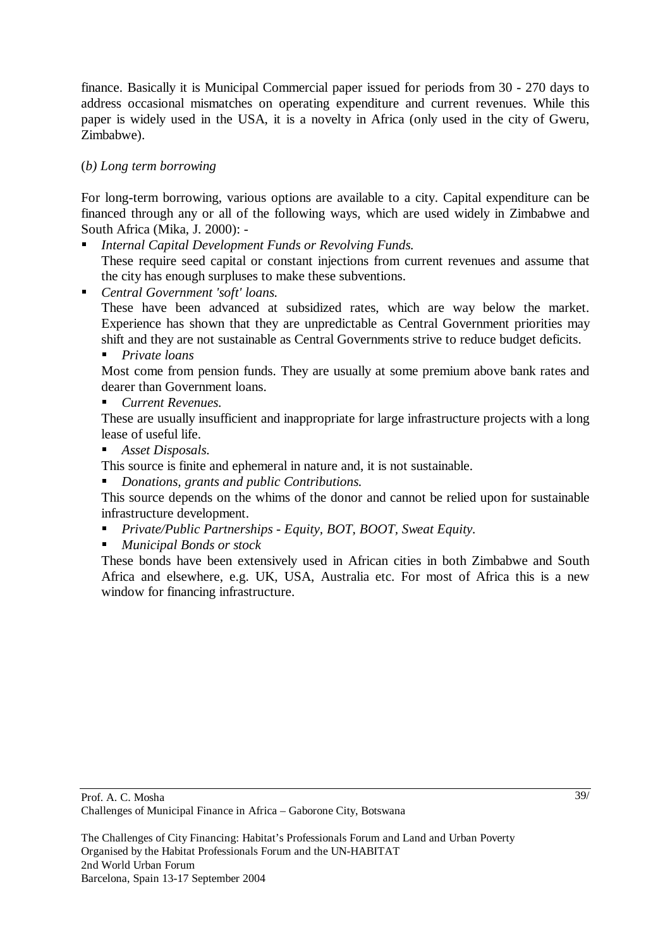finance. Basically it is Municipal Commercial paper issued for periods from 30 - 270 days to address occasional mismatches on operating expenditure and current revenues. While this paper is widely used in the USA, it is a novelty in Africa (only used in the city of Gweru, Zimbabwe).

## (*b) Long term borrowing*

For long-term borrowing, various options are available to a city. Capital expenditure can be financed through any or all of the following ways, which are used widely in Zimbabwe and South Africa (Mika, J. 2000): -

- **II** *Internal Capital Development Funds or Revolving Funds.*<br>These require seed capital or constant injections from current revenues and assume that the city has enough surpluses to make these subventions.
- 

 *Central Government 'soft' loans.* These have been advanced at subsidized rates, which are way below the market. Experience has shown that they are unpredictable as Central Government priorities may shift and they are not sustainable as Central Governments strive to reduce budget deficits.

**Private loans**<br>
Most come from pension funds. They are usually at some premium above bank rates and dearer than Government loans.

 *Current Revenues.* These are usually insufficient and inappropriate for large infrastructure projects with a long lease of useful life.

**Asset Disposals.**<br>This source is finite and ephemeral in nature and, it is not sustainable.

**Donations, grants and public Contributions.**<br>This source depends on the whims of the donor and cannot be relied upon for sustainable infrastructure development.

- *Private/Public Partnerships Equity, BOT, BOOT, Sweat Equity.*
- 

**Municipal Bonds or stock**<br>
These bonds have been extensively used in African cities in both Zimbabwe and South Africa and elsewhere, e.g. UK, USA, Australia etc. For most of Africa this is a new window for financing infrastructure.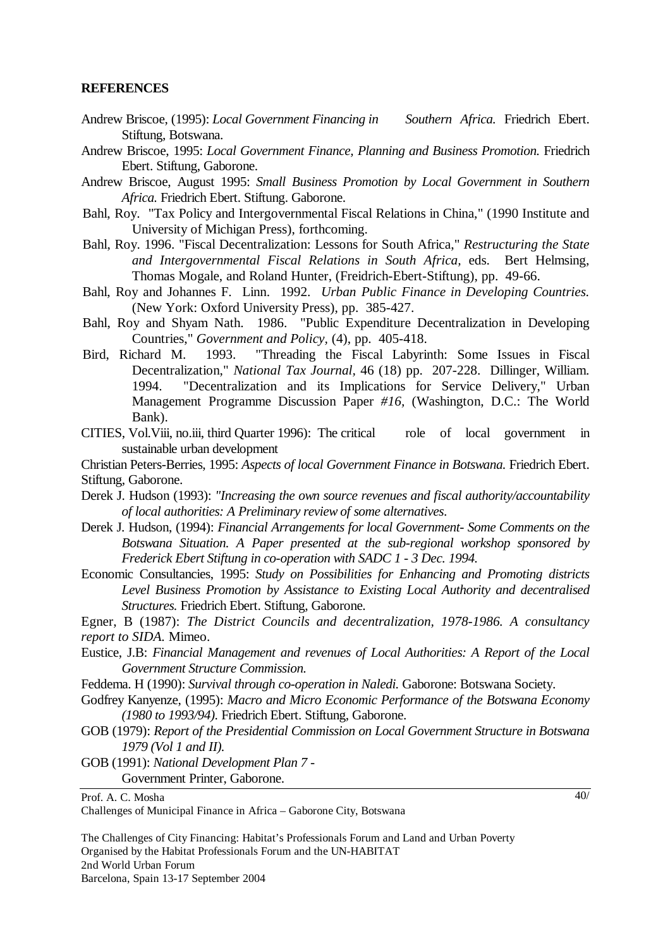#### **REFERENCES**

- Andrew Briscoe, (1995): *Local Government Financing in Southern Africa.* Friedrich Ebert. Stiftung, Botswana.
- Andrew Briscoe, 1995: *Local Government Finance, Planning and Business Promotion.* Friedrich Ebert. Stiftung, Gaborone.
- Andrew Briscoe, August 1995: *Small Business Promotion by Local Government in Southern Africa.* Friedrich Ebert. Stiftung. Gaborone.
- Bahl, Roy. "Tax Policy and Intergovernmental Fiscal Relations in China," (1990 Institute and University of Michigan Press), forthcoming.
- Bahl, Roy. 1996. "Fiscal Decentralization: Lessons for South Africa," *Restructuring the State and Intergovernmental Fiscal Relations in South Africa,* eds. Bert Helmsing, Thomas Mogale, and Roland Hunter, (Freidrich-Ebert-Stiftung), pp. 49-66.
- Bahl, Roy and Johannes F. Linn. 1992. *Urban Public Finance in Developing Countries.*  (New York: Oxford University Press), pp. 385-427.
- Bahl, Roy and Shyam Nath. 1986. "Public Expenditure Decentralization in Developing Countries," *Government and Policy,* (4), pp. 405-418.
- Bird, Richard M. 1993. "Threading the Fiscal Labyrinth: Some Issues in Fiscal Decentralization," *National Tax Journal,* 46 (18) pp. 207-228. Dillinger, William. 1994. "Decentralization and its Implications for Service Delivery," Urban Management Programme Discussion Paper *#16,* (Washington, D.C.: The World Bank).
- CITIES, Vol.Viii, no.iii, third Quarter 1996): The critical role of local government in sustainable urban development

Christian Peters-Berries, 1995: *Aspects of local Government Finance in Botswana.* Friedrich Ebert. Stiftung, Gaborone.

- Derek J. Hudson (1993): *"Increasing the own source revenues and fiscal authority/accountability of local authorities: A Preliminary review of some alternatives*.
- Derek J. Hudson, (1994): *Financial Arrangements for local Government- Some Comments on the Botswana Situation. A Paper presented at the sub-regional workshop sponsored by Frederick Ebert Stiftung in co-operation with SADC 1 - 3 Dec. 1994.*
- Economic Consultancies, 1995: *Study on Possibilities for Enhancing and Promoting districts Level Business Promotion by Assistance to Existing Local Authority and decentralised Structures.* Friedrich Ebert. Stiftung, Gaborone.

Egner, B (1987): *The District Councils and decentralization, 1978-1986. A consultancy report to SIDA.* Mimeo.

- Eustice, J.B: *Financial Management and revenues of Local Authorities: A Report of the Local Government Structure Commission.*
- Feddema. H (1990): *Survival through co-operation in Naledi.* Gaborone: Botswana Society.
- Godfrey Kanyenze, (1995): *Macro and Micro Economic Performance of the Botswana Economy (1980 to 1993/94).* Friedrich Ebert. Stiftung, Gaborone.
- GOB (1979): *Report of the Presidential Commission on Local Government Structure in Botswana 1979 (Vol 1 and II).*
- GOB (1991): *National Development Plan 7*  Government Printer, Gaborone.

Prof. A. C. Mosha

Challenges of Municipal Finance in Africa – Gaborone City, Botswana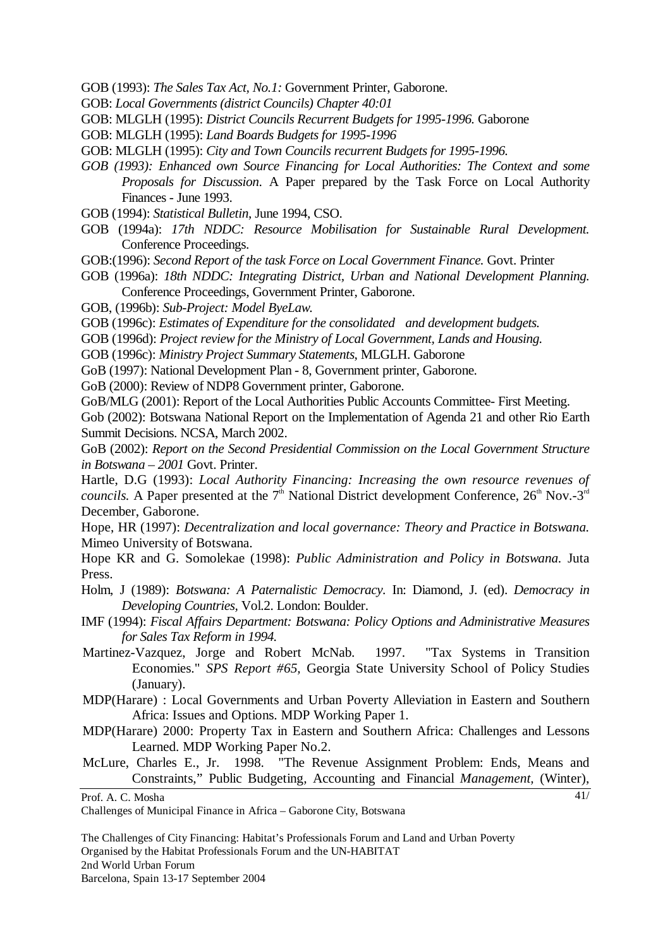- GOB (1993): *The Sales Tax Act, No.1:* Government Printer, Gaborone.
- GOB: *Local Governments (district Councils) Chapter 40:01*
- GOB: MLGLH (1995): *District Councils Recurrent Budgets for 1995-1996.* Gaborone
- GOB: MLGLH (1995): *Land Boards Budgets for 1995-1996*
- GOB: MLGLH (1995): *City and Town Councils recurrent Budgets for 1995-1996.*
- *GOB (1993): Enhanced own Source Financing for Local Authorities: The Context and some Proposals for Discussion*. A Paper prepared by the Task Force on Local Authority Finances - June 1993.
- GOB (1994): *Statistical Bulletin*, June 1994, CSO.
- GOB (1994a): *17th NDDC: Resource Mobilisation for Sustainable Rural Development.*  Conference Proceedings.
- GOB:(1996): *Second Report of the task Force on Local Government Finance.* Govt. Printer
- GOB (1996a): *18th NDDC: Integrating District, Urban and National Development Planning.*  Conference Proceedings, Government Printer, Gaborone.
- GOB, (1996b): *Sub-Project: Model ByeLaw.*
- GOB (1996c): *Estimates of Expenditure for the consolidated and development budgets.*
- GOB (1996d): *Project review for the Ministry of Local Government, Lands and Housing.*
- GOB (1996c): *Ministry Project Summary Statements*, MLGLH. Gaborone
- GoB (1997): National Development Plan 8, Government printer, Gaborone.
- GoB (2000): Review of NDP8 Government printer, Gaborone.
- GoB/MLG (2001): Report of the Local Authorities Public Accounts Committee- First Meeting.
- Gob (2002): Botswana National Report on the Implementation of Agenda 21 and other Rio Earth Summit Decisions. NCSA, March 2002.
- GoB (2002): *Report on the Second Presidential Commission on the Local Government Structure in Botswana – 2001* Govt. Printer.

Hartle, D.G (1993): *Local Authority Financing: Increasing the own resource revenues of councils.* A Paper presented at the  $7<sup>th</sup>$  National District development Conference,  $26<sup>th</sup>$  Nov.-3<sup>rd</sup> December, Gaborone.

Hope, HR (1997): *Decentralization and local governance: Theory and Practice in Botswana.*  Mimeo University of Botswana.

Hope KR and G. Somolekae (1998): *Public Administration and Policy in Botswana.* Juta Press.

- Holm, J (1989): *Botswana: A Paternalistic Democracy.* In: Diamond, J. (ed). *Democracy in Developing Countries,* Vol.2. London: Boulder.
- IMF (1994): *Fiscal Affairs Department: Botswana: Policy Options and Administrative Measures for Sales Tax Reform in 1994.*
- Martinez-Vazquez, Jorge and Robert McNab. 1997. "Tax Systems in Transition Economies." *SPS Report #65,* Georgia State University School of Policy Studies (January).
- MDP(Harare) : Local Governments and Urban Poverty Alleviation in Eastern and Southern Africa: Issues and Options. MDP Working Paper 1.
- MDP(Harare) 2000: Property Tax in Eastern and Southern Africa: Challenges and Lessons Learned. MDP Working Paper No.2.
- McLure, Charles E., Jr. 1998. "The Revenue Assignment Problem: Ends, Means and Constraints," Public Budgeting*,* Accounting and Financial *Management,* (Winter),

41/

Prof. A. C. Mosha

Challenges of Municipal Finance in Africa – Gaborone City, Botswana

The Challenges of City Financing: Habitat's Professionals Forum and Land and Urban Poverty Organised by the Habitat Professionals Forum and the UN-HABITAT 2nd World Urban Forum Barcelona, Spain 13-17 September 2004